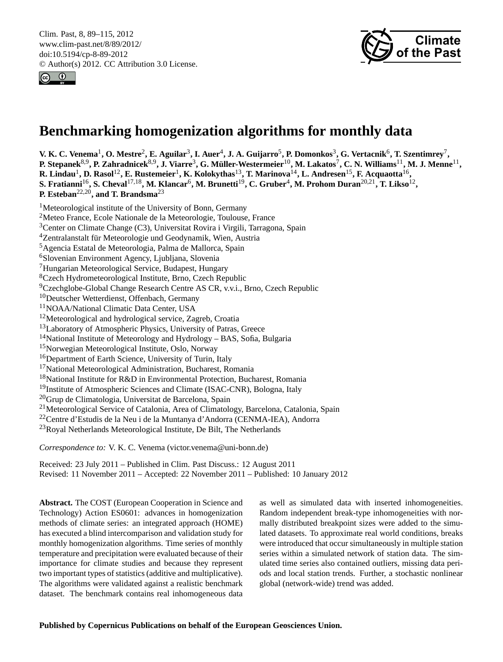<span id="page-0-0"></span>



# **Benchmarking homogenization algorithms for monthly data**

 $V.$  K. C. Venema<sup>1</sup>, O. Mestre<sup>2</sup>, E. Aguilar<sup>3</sup>, I. Auer<sup>4</sup>, J. A. Guijarro<sup>5</sup>, P. Domonkos<sup>3</sup>, G. Vertacnik<sup>6</sup>, T. Szentimrey<sup>7</sup>, P. Stepanek<sup>8,9</sup>, P. Zahradnicek<sup>8,9</sup>, J. Viarre<sup>3</sup>, G. Müller-Westermeier<sup>10</sup>, M. Lakatos<sup>7</sup>, C. N. Williams<sup>11</sup>, M. J. Menne<sup>11</sup>,  ${\bf R.\ Lindau}^1,$   ${\bf D.\ Rasol}^{12},$   ${\bf E.\ Rustemeier}^1,$   ${\bf K.\ Kolokythas}^{13},$   ${\bf T.\ Marinova}^{14},$   ${\bf L.\ Andresen}^{15},$   ${\bf F.\ Acquaotta}^{16},$  $\mathbf{S.}$  Fratianni<sup>16</sup>, S. Cheval<sup>17,18</sup>, M. Klancar<sup>6</sup>, M. Brunetti<sup>19</sup>, C. Gruber<sup>4</sup>, M. Prohom Duran<sup>20,21</sup>, T. Likso<sup>12</sup>, **P. Esteban**22,20**, and T. Brandsma**<sup>23</sup> <sup>1</sup>Meteorological institute of the University of Bonn, Germany <sup>2</sup>Meteo France, Ecole Nationale de la Meteorologie, Toulouse, France <sup>3</sup>Center on Climate Change (C3), Universitat Rovira i Virgili, Tarragona, Spain <sup>4</sup>Zentralanstalt für Meteorologie und Geodynamik, Wien, Austria <sup>5</sup>Agencia Estatal de Meteorologia, Palma de Mallorca, Spain <sup>6</sup>Slovenian Environment Agency, Ljubljana, Slovenia <sup>7</sup>Hungarian Meteorological Service, Budapest, Hungary <sup>8</sup>Czech Hydrometeorological Institute, Brno, Czech Republic <sup>9</sup>Czechglobe-Global Change Research Centre AS CR, v.v.i., Brno, Czech Republic <sup>10</sup>Deutscher Wetterdienst, Offenbach, Germany <sup>11</sup>NOAA/National Climatic Data Center, USA <sup>12</sup>Meteorological and hydrological service, Zagreb, Croatia <sup>13</sup>Laboratory of Atmospheric Physics, University of Patras, Greece <sup>14</sup>National Institute of Meteorology and Hydrology - BAS, Sofia, Bulgaria <sup>15</sup>Norwegian Meteorological Institute, Oslo, Norway <sup>16</sup>Department of Earth Science, University of Turin, Italy <sup>17</sup>National Meteorological Administration, Bucharest, Romania <sup>18</sup>National Institute for R&D in Environmental Protection, Bucharest, Romania <sup>19</sup>Institute of Atmospheric Sciences and Climate (ISAC-CNR), Bologna, Italy <sup>20</sup>Grup de Climatologia, Universitat de Barcelona, Spain <sup>21</sup>Meteorological Service of Catalonia, Area of Climatology, Barcelona, Catalonia, Spain <sup>22</sup>Centre d'Estudis de la Neu i de la Muntanya d'Andorra (CENMA-IEA), Andorra  $23$ Royal Netherlands Meteorological Institute, De Bilt, The Netherlands

*Correspondence to:* V. K. C. Venema (victor.venema@uni-bonn.de)

Received: 23 July 2011 – Published in Clim. Past Discuss.: 12 August 2011 Revised: 11 November 2011 – Accepted: 22 November 2011 – Published: 10 January 2012

**Abstract.** The COST (European Cooperation in Science and Technology) Action ES0601: advances in homogenization methods of climate series: an integrated approach (HOME) has executed a blind intercomparison and validation study for monthly homogenization algorithms. Time series of monthly temperature and precipitation were evaluated because of their importance for climate studies and because they represent two important types of statistics (additive and multiplicative). The algorithms were validated against a realistic benchmark dataset. The benchmark contains real inhomogeneous data

as well as simulated data with inserted inhomogeneities. Random independent break-type inhomogeneities with normally distributed breakpoint sizes were added to the simulated datasets. To approximate real world conditions, breaks were introduced that occur simultaneously in multiple station series within a simulated network of station data. The simulated time series also contained outliers, missing data periods and local station trends. Further, a stochastic nonlinear global (network-wide) trend was added.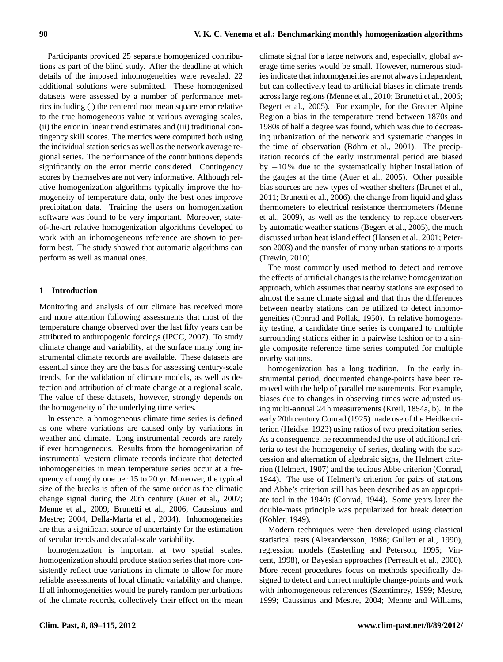Participants provided 25 separate homogenized contributions as part of the blind study. After the deadline at which details of the imposed inhomogeneities were revealed, 22 additional solutions were submitted. These homogenized datasets were assessed by a number of performance metrics including (i) the centered root mean square error relative to the true homogeneous value at various averaging scales, (ii) the error in linear trend estimates and (iii) traditional contingency skill scores. The metrics were computed both using the individual station series as well as the network average regional series. The performance of the contributions depends significantly on the error metric considered. Contingency scores by themselves are not very informative. Although relative homogenization algorithms typically improve the homogeneity of temperature data, only the best ones improve precipitation data. Training the users on homogenization software was found to be very important. Moreover, stateof-the-art relative homogenization algorithms developed to work with an inhomogeneous reference are shown to perform best. The study showed that automatic algorithms can perform as well as manual ones.

# **1 Introduction**

Monitoring and analysis of our climate has received more and more attention following assessments that most of the temperature change observed over the last fifty years can be attributed to anthropogenic forcings (IPCC, 2007). To study climate change and variability, at the surface many long instrumental climate records are available. These datasets are essential since they are the basis for assessing century-scale trends, for the validation of climate models, as well as detection and attribution of climate change at a regional scale. The value of these datasets, however, strongly depends on the homogeneity of the underlying time series.

In essence, a homogeneous climate time series is defined as one where variations are caused only by variations in weather and climate. Long instrumental records are rarely if ever homogeneous. Results from the homogenization of instrumental western climate records indicate that detected inhomogeneities in mean temperature series occur at a frequency of roughly one per 15 to 20 yr. Moreover, the typical size of the breaks is often of the same order as the climatic change signal during the 20th century (Auer et al., 2007; Menne et al., 2009; Brunetti et al., 2006; Caussinus and Mestre; 2004, Della-Marta et al., 2004). Inhomogeneities are thus a significant source of uncertainty for the estimation of secular trends and decadal-scale variability.

homogenization is important at two spatial scales. homogenization should produce station series that more consistently reflect true variations in climate to allow for more reliable assessments of local climatic variability and change. If all inhomogeneities would be purely random perturbations of the climate records, collectively their effect on the mean climate signal for a large network and, especially, global average time series would be small. However, numerous studies indicate that inhomogeneities are not always independent, but can collectively lead to artificial biases in climate trends across large regions (Menne et al., 2010; Brunetti et al., 2006; Begert et al., 2005). For example, for the Greater Alpine Region a bias in the temperature trend between 1870s and 1980s of half a degree was found, which was due to decreasing urbanization of the network and systematic changes in the time of observation (Böhm et al., 2001). The precipitation records of the early instrumental period are biased by −10 % due to the systematically higher installation of the gauges at the time (Auer et al., 2005). Other possible bias sources are new types of weather shelters (Brunet et al., 2011; Brunetti et al., 2006), the change from liquid and glass thermometers to electrical resistance thermometers (Menne et al., 2009), as well as the tendency to replace observers by automatic weather stations (Begert et al., 2005), the much discussed urban heat island effect (Hansen et al., 2001; Peterson 2003) and the transfer of many urban stations to airports (Trewin, 2010).

The most commonly used method to detect and remove the effects of artificial changes is the relative homogenization approach, which assumes that nearby stations are exposed to almost the same climate signal and that thus the differences between nearby stations can be utilized to detect inhomogeneities (Conrad and Pollak, 1950). In relative homogeneity testing, a candidate time series is compared to multiple surrounding stations either in a pairwise fashion or to a single composite reference time series computed for multiple nearby stations.

homogenization has a long tradition. In the early instrumental period, documented change-points have been removed with the help of parallel measurements. For example, biases due to changes in observing times were adjusted using multi-annual 24 h measurements (Kreil, 1854a, b). In the early 20th century Conrad (1925) made use of the Heidke criterion (Heidke, 1923) using ratios of two precipitation series. As a consequence, he recommended the use of additional criteria to test the homogeneity of series, dealing with the succession and alternation of algebraic signs, the Helmert criterion (Helmert, 1907) and the tedious Abbe criterion (Conrad, 1944). The use of Helmert's criterion for pairs of stations and Abbe's criterion still has been described as an appropriate tool in the 1940s (Conrad, 1944). Some years later the double-mass principle was popularized for break detection (Kohler, 1949).

Modern techniques were then developed using classical statistical tests (Alexandersson, 1986; Gullett et al., 1990), regression models (Easterling and Peterson, 1995; Vincent, 1998), or Bayesian approaches (Perreault et al., 2000). More recent procedures focus on methods specifically designed to detect and correct multiple change-points and work with inhomogeneous references (Szentimrey, 1999; Mestre, 1999; Caussinus and Mestre, 2004; Menne and Williams,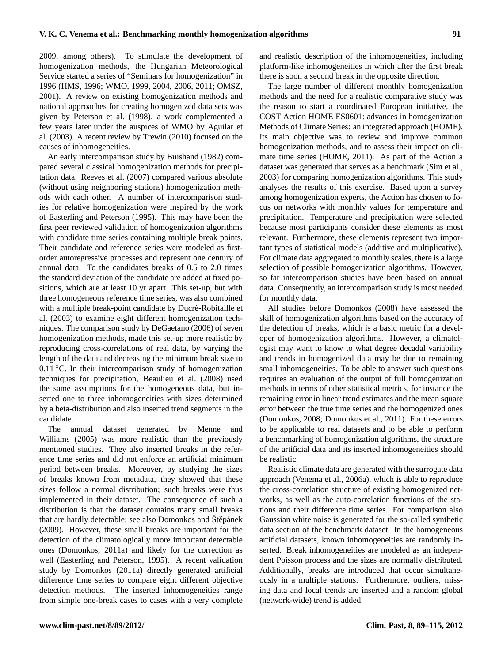2009, among others). To stimulate the development of homogenization methods, the Hungarian Meteorological Service started a series of "Seminars for homogenization" in 1996 (HMS, 1996; WMO, 1999, 2004, 2006, 2011; OMSZ, 2001). A review on existing homogenization methods and national approaches for creating homogenized data sets was given by Peterson et al. (1998), a work complemented a few years later under the auspices of WMO by Aguilar et al. (2003). A recent review by Trewin (2010) focused on the causes of inhomogeneities.

An early intercomparison study by Buishand (1982) compared several classical homogenization methods for precipitation data. Reeves et al. (2007) compared various absolute (without using neighboring stations) homogenization methods with each other. A number of intercomparison studies for relative homogenization were inspired by the work of Easterling and Peterson (1995). This may have been the first peer reviewed validation of homogenization algorithms with candidate time series containing multiple break points. Their candidate and reference series were modeled as firstorder autoregressive processes and represent one century of annual data. To the candidates breaks of 0.5 to 2.0 times the standard deviation of the candidate are added at fixed positions, which are at least 10 yr apart. This set-up, but with three homogeneous reference time series, was also combined with a multiple break-point candidate by Ducré-Robitaille et al. (2003) to examine eight different homogenization techniques. The comparison study by DeGaetano (2006) of seven homogenization methods, made this set-up more realistic by reproducing cross-correlations of real data, by varying the length of the data and decreasing the minimum break size to 0.11  $\degree$ C. In their intercomparison study of homogenization techniques for precipitation, Beaulieu et al. (2008) used the same assumptions for the homogeneous data, but inserted one to three inhomogeneities with sizes determined by a beta-distribution and also inserted trend segments in the candidate.

The annual dataset generated by Menne and Williams (2005) was more realistic than the previously mentioned studies. They also inserted breaks in the reference time series and did not enforce an artificial minimum period between breaks. Moreover, by studying the sizes of breaks known from metadata, they showed that these sizes follow a normal distribution; such breaks were thus implemented in their dataset. The consequence of such a distribution is that the dataset contains many small breaks that are hardly detectable; see also Domonkos and Štěpánek (2009). However, these small breaks are important for the detection of the climatologically more important detectable ones (Domonkos, 2011a) and likely for the correction as well (Easterling and Peterson, 1995). A recent validation study by Domonkos (2011a) directly generated artificial difference time series to compare eight different objective detection methods. The inserted inhomogeneities range from simple one-break cases to cases with a very complete and realistic description of the inhomogeneities, including platform-like inhomogeneities in which after the first break there is soon a second break in the opposite direction.

The large number of different monthly homogenization methods and the need for a realistic comparative study was the reason to start a coordinated European initiative, the COST Action HOME ES0601: advances in homogenization Methods of Climate Series: an integrated approach (HOME). Its main objective was to review and improve common homogenization methods, and to assess their impact on climate time series (HOME, 2011). As part of the Action a dataset was generated that serves as a benchmark (Sim et al., 2003) for comparing homogenization algorithms. This study analyses the results of this exercise. Based upon a survey among homogenization experts, the Action has chosen to focus on networks with monthly values for temperature and precipitation. Temperature and precipitation were selected because most participants consider these elements as most relevant. Furthermore, these elements represent two important types of statistical models (additive and multiplicative). For climate data aggregated to monthly scales, there is a large selection of possible homogenization algorithms. However, so far intercomparison studies have been based on annual data. Consequently, an intercomparison study is most needed for monthly data.

All studies before Domonkos (2008) have assessed the skill of homogenization algorithms based on the accuracy of the detection of breaks, which is a basic metric for a developer of homogenization algorithms. However, a climatologist may want to know to what degree decadal variability and trends in homogenized data may be due to remaining small inhomogeneities. To be able to answer such questions requires an evaluation of the output of full homogenization methods in terms of other statistical metrics, for instance the remaining error in linear trend estimates and the mean square error between the true time series and the homogenized ones (Domonkos, 2008; Domonkos et al., 2011). For these errors to be applicable to real datasets and to be able to perform a benchmarking of homogenization algorithms, the structure of the artificial data and its inserted inhomogeneities should be realistic.

Realistic climate data are generated with the surrogate data approach (Venema et al., 2006a), which is able to reproduce the cross-correlation structure of existing homogenized networks, as well as the auto-correlation functions of the stations and their difference time series. For comparison also Gaussian white noise is generated for the so-called synthetic data section of the benchmark dataset. In the homogeneous artificial datasets, known inhomogeneities are randomly inserted. Break inhomogeneities are modeled as an independent Poisson process and the sizes are normally distributed. Additionally, breaks are introduced that occur simultaneously in a multiple stations. Furthermore, outliers, missing data and local trends are inserted and a random global (network-wide) trend is added.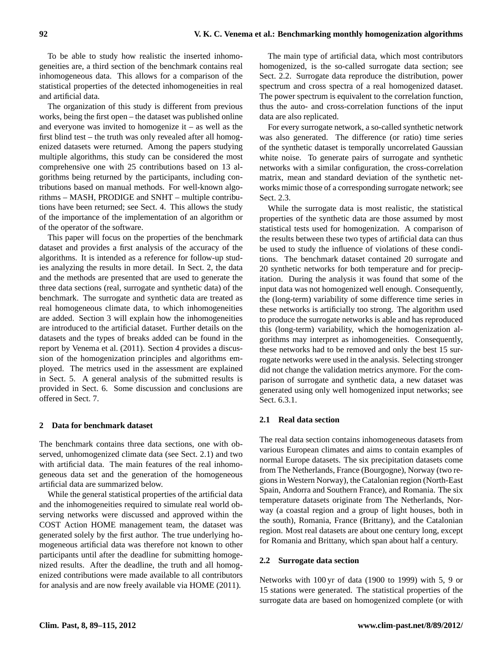To be able to study how realistic the inserted inhomogeneities are, a third section of the benchmark contains real inhomogeneous data. This allows for a comparison of the statistical properties of the detected inhomogeneities in real and artificial data.

The organization of this study is different from previous works, being the first open – the dataset was published online and everyone was invited to homogenize it – as well as the first blind test – the truth was only revealed after all homogenized datasets were returned. Among the papers studying multiple algorithms, this study can be considered the most comprehensive one with 25 contributions based on 13 algorithms being returned by the participants, including contributions based on manual methods. For well-known algorithms – MASH, PRODIGE and SNHT – multiple contributions have been returned; see Sect. 4. This allows the study of the importance of the implementation of an algorithm or of the operator of the software.

This paper will focus on the properties of the benchmark dataset and provides a first analysis of the accuracy of the algorithms. It is intended as a reference for follow-up studies analyzing the results in more detail. In Sect. 2, the data and the methods are presented that are used to generate the three data sections (real, surrogate and synthetic data) of the benchmark. The surrogate and synthetic data are treated as real homogeneous climate data, to which inhomogeneities are added. Section 3 will explain how the inhomogeneities are introduced to the artificial dataset. Further details on the datasets and the types of breaks added can be found in the report by Venema et al. (2011). Section 4 provides a discussion of the homogenization principles and algorithms employed. The metrics used in the assessment are explained in Sect. 5. A general analysis of the submitted results is provided in Sect. 6. Some discussion and conclusions are offered in Sect. 7.

# **2 Data for benchmark dataset**

The benchmark contains three data sections, one with observed, unhomogenized climate data (see Sect. 2.1) and two with artificial data. The main features of the real inhomogeneous data set and the generation of the homogeneous artificial data are summarized below.

While the general statistical properties of the artificial data and the inhomogeneities required to simulate real world observing networks were discussed and approved within the COST Action HOME management team, the dataset was generated solely by the first author. The true underlying homogeneous artificial data was therefore not known to other participants until after the deadline for submitting homogenized results. After the deadline, the truth and all homogenized contributions were made available to all contributors for analysis and are now freely available via HOME (2011).

The main type of artificial data, which most contributors homogenized, is the so-called surrogate data section; see Sect. 2.2. Surrogate data reproduce the distribution, power spectrum and cross spectra of a real homogenized dataset. The power spectrum is equivalent to the correlation function, thus the auto- and cross-correlation functions of the input data are also replicated.

For every surrogate network, a so-called synthetic network was also generated. The difference (or ratio) time series of the synthetic dataset is temporally uncorrelated Gaussian white noise. To generate pairs of surrogate and synthetic networks with a similar configuration, the cross-correlation matrix, mean and standard deviation of the synthetic networks mimic those of a corresponding surrogate network; see Sect. 2.3.

While the surrogate data is most realistic, the statistical properties of the synthetic data are those assumed by most statistical tests used for homogenization. A comparison of the results between these two types of artificial data can thus be used to study the influence of violations of these conditions. The benchmark dataset contained 20 surrogate and 20 synthetic networks for both temperature and for precipitation. During the analysis it was found that some of the input data was not homogenized well enough. Consequently, the (long-term) variability of some difference time series in these networks is artificially too strong. The algorithm used to produce the surrogate networks is able and has reproduced this (long-term) variability, which the homogenization algorithms may interpret as inhomogeneities. Consequently, these networks had to be removed and only the best 15 surrogate networks were used in the analysis. Selecting stronger did not change the validation metrics anymore. For the comparison of surrogate and synthetic data, a new dataset was generated using only well homogenized input networks; see Sect. 6.3.1.

# **2.1 Real data section**

The real data section contains inhomogeneous datasets from various European climates and aims to contain examples of normal Europe datasets. The six precipitation datasets come from The Netherlands, France (Bourgogne), Norway (two regions in Western Norway), the Catalonian region (North-East Spain, Andorra and Southern France), and Romania. The six temperature datasets originate from The Netherlands, Norway (a coastal region and a group of light houses, both in the south), Romania, France (Brittany), and the Catalonian region. Most real datasets are about one century long, except for Romania and Brittany, which span about half a century.

## **2.2 Surrogate data section**

Networks with 100 yr of data (1900 to 1999) with 5, 9 or 15 stations were generated. The statistical properties of the surrogate data are based on homogenized complete (or with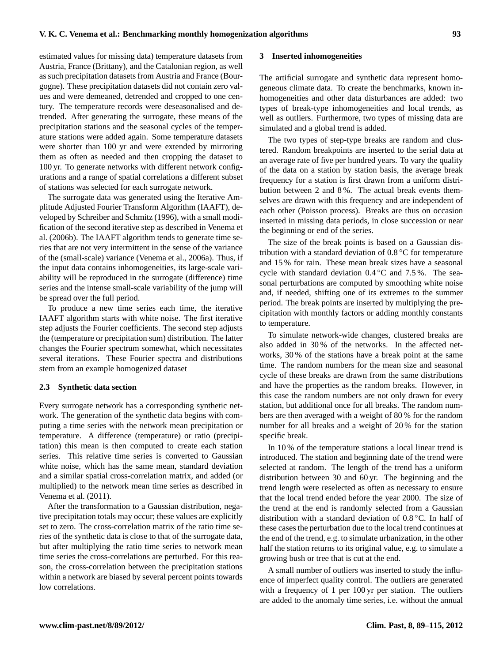estimated values for missing data) temperature datasets from Austria, France (Brittany), and the Catalonian region, as well as such precipitation datasets from Austria and France (Bourgogne). These precipitation datasets did not contain zero values and were demeaned, detrended and cropped to one century. The temperature records were deseasonalised and detrended. After generating the surrogate, these means of the precipitation stations and the seasonal cycles of the temperature stations were added again. Some temperature datasets were shorter than 100 yr and were extended by mirroring them as often as needed and then cropping the dataset to 100 yr. To generate networks with different network configurations and a range of spatial correlations a different subset of stations was selected for each surrogate network.

The surrogate data was generated using the Iterative Amplitude Adjusted Fourier Transform Algorithm (IAAFT), developed by Schreiber and Schmitz (1996), with a small modification of the second iterative step as described in Venema et al. (2006b). The IAAFT algorithm tends to generate time series that are not very intermittent in the sense of the variance of the (small-scale) variance (Venema et al., 2006a). Thus, if the input data contains inhomogeneities, its large-scale variability will be reproduced in the surrogate (difference) time series and the intense small-scale variability of the jump will be spread over the full period.

To produce a new time series each time, the iterative IAAFT algorithm starts with white noise. The first iterative step adjusts the Fourier coefficients. The second step adjusts the (temperature or precipitation sum) distribution. The latter changes the Fourier spectrum somewhat, which necessitates several iterations. These Fourier spectra and distributions stem from an example homogenized dataset

# **2.3 Synthetic data section**

Every surrogate network has a corresponding synthetic network. The generation of the synthetic data begins with computing a time series with the network mean precipitation or temperature. A difference (temperature) or ratio (precipitation) this mean is then computed to create each station series. This relative time series is converted to Gaussian white noise, which has the same mean, standard deviation and a similar spatial cross-correlation matrix, and added (or multiplied) to the network mean time series as described in Venema et al. (2011).

After the transformation to a Gaussian distribution, negative precipitation totals may occur; these values are explicitly set to zero. The cross-correlation matrix of the ratio time series of the synthetic data is close to that of the surrogate data, but after multiplying the ratio time series to network mean time series the cross-correlations are perturbed. For this reason, the cross-correlation between the precipitation stations within a network are biased by several percent points towards low correlations.

## **3 Inserted inhomogeneities**

The artificial surrogate and synthetic data represent homogeneous climate data. To create the benchmarks, known inhomogeneities and other data disturbances are added: two types of break-type inhomogeneities and local trends, as well as outliers. Furthermore, two types of missing data are simulated and a global trend is added.

The two types of step-type breaks are random and clustered. Random breakpoints are inserted to the serial data at an average rate of five per hundred years. To vary the quality of the data on a station by station basis, the average break frequency for a station is first drawn from a uniform distribution between 2 and 8 %. The actual break events themselves are drawn with this frequency and are independent of each other (Poisson process). Breaks are thus on occasion inserted in missing data periods, in close succession or near the beginning or end of the series.

The size of the break points is based on a Gaussian distribution with a standard deviation of 0.8 ◦C for temperature and 15 % for rain. These mean break sizes have a seasonal cycle with standard deviation  $0.4\degree$ C and  $7.5\%$ . The seasonal perturbations are computed by smoothing white noise and, if needed, shifting one of its extremes to the summer period. The break points are inserted by multiplying the precipitation with monthly factors or adding monthly constants to temperature.

To simulate network-wide changes, clustered breaks are also added in 30 % of the networks. In the affected networks, 30 % of the stations have a break point at the same time. The random numbers for the mean size and seasonal cycle of these breaks are drawn from the same distributions and have the properties as the random breaks. However, in this case the random numbers are not only drawn for every station, but additional once for all breaks. The random numbers are then averaged with a weight of 80 % for the random number for all breaks and a weight of 20 % for the station specific break.

In 10 % of the temperature stations a local linear trend is introduced. The station and beginning date of the trend were selected at random. The length of the trend has a uniform distribution between 30 and 60 yr. The beginning and the trend length were reselected as often as necessary to ensure that the local trend ended before the year 2000. The size of the trend at the end is randomly selected from a Gaussian distribution with a standard deviation of 0.8 ◦C. In half of these cases the perturbation due to the local trend continues at the end of the trend, e.g. to simulate urbanization, in the other half the station returns to its original value, e.g. to simulate a growing bush or tree that is cut at the end.

A small number of outliers was inserted to study the influence of imperfect quality control. The outliers are generated with a frequency of 1 per 100 yr per station. The outliers are added to the anomaly time series, i.e. without the annual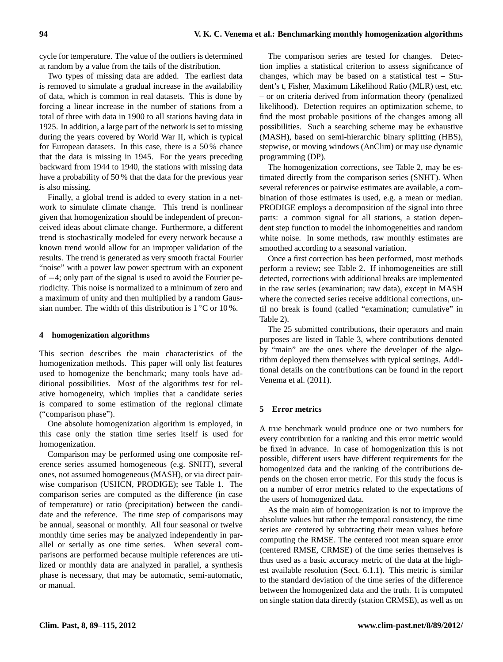cycle for temperature. The value of the outliers is determined at random by a value from the tails of the distribution.

Two types of missing data are added. The earliest data is removed to simulate a gradual increase in the availability of data, which is common in real datasets. This is done by forcing a linear increase in the number of stations from a total of three with data in 1900 to all stations having data in 1925. In addition, a large part of the network is set to missing during the years covered by World War II, which is typical for European datasets. In this case, there is a 50 % chance that the data is missing in 1945. For the years preceding backward from 1944 to 1940, the stations with missing data have a probability of 50 % that the data for the previous year is also missing.

Finally, a global trend is added to every station in a network to simulate climate change. This trend is nonlinear given that homogenization should be independent of preconceived ideas about climate change. Furthermore, a different trend is stochastically modeled for every network because a known trend would allow for an improper validation of the results. The trend is generated as very smooth fractal Fourier "noise" with a power law power spectrum with an exponent of −4; only part of the signal is used to avoid the Fourier periodicity. This noise is normalized to a minimum of zero and a maximum of unity and then multiplied by a random Gaussian number. The width of this distribution is  $1 \degree C$  or  $10 \degree$ .

## **4 homogenization algorithms**

This section describes the main characteristics of the homogenization methods. This paper will only list features used to homogenize the benchmark; many tools have additional possibilities. Most of the algorithms test for relative homogeneity, which implies that a candidate series is compared to some estimation of the regional climate ("comparison phase").

One absolute homogenization algorithm is employed, in this case only the station time series itself is used for homogenization.

Comparison may be performed using one composite reference series assumed homogeneous (e.g. SNHT), several ones, not assumed homogeneous (MASH), or via direct pairwise comparison (USHCN, PRODIGE); see Table 1. The comparison series are computed as the difference (in case of temperature) or ratio (precipitation) between the candidate and the reference. The time step of comparisons may be annual, seasonal or monthly. All four seasonal or twelve monthly time series may be analyzed independently in parallel or serially as one time series. When several comparisons are performed because multiple references are utilized or monthly data are analyzed in parallel, a synthesis phase is necessary, that may be automatic, semi-automatic, or manual.

The comparison series are tested for changes. Detection implies a statistical criterion to assess significance of changes, which may be based on a statistical test – Student's t, Fisher, Maximum Likelihood Ratio (MLR) test, etc. – or on criteria derived from information theory (penalized likelihood). Detection requires an optimization scheme, to find the most probable positions of the changes among all possibilities. Such a searching scheme may be exhaustive (MASH), based on semi-hierarchic binary splitting (HBS), stepwise, or moving windows (AnClim) or may use dynamic programming (DP).

The homogenization corrections, see Table 2, may be estimated directly from the comparison series (SNHT). When several references or pairwise estimates are available, a combination of those estimates is used, e.g. a mean or median. PRODIGE employs a decomposition of the signal into three parts: a common signal for all stations, a station dependent step function to model the inhomogeneities and random white noise. In some methods, raw monthly estimates are smoothed according to a seasonal variation.

Once a first correction has been performed, most methods perform a review; see Table 2. If inhomogeneities are still detected, corrections with additional breaks are implemented in the raw series (examination; raw data), except in MASH where the corrected series receive additional corrections, until no break is found (called "examination; cumulative" in Table 2).

The 25 submitted contributions, their operators and main purposes are listed in Table 3, where contributions denoted by "main" are the ones where the developer of the algorithm deployed them themselves with typical settings. Additional details on the contributions can be found in the report Venema et al. (2011).

## **5 Error metrics**

A true benchmark would produce one or two numbers for every contribution for a ranking and this error metric would be fixed in advance. In case of homogenization this is not possible, different users have different requirements for the homogenized data and the ranking of the contributions depends on the chosen error metric. For this study the focus is on a number of error metrics related to the expectations of the users of homogenized data.

As the main aim of homogenization is not to improve the absolute values but rather the temporal consistency, the time series are centered by subtracting their mean values before computing the RMSE. The centered root mean square error (centered RMSE, CRMSE) of the time series themselves is thus used as a basic accuracy metric of the data at the highest available resolution (Sect. 6.1.1). This metric is similar to the standard deviation of the time series of the difference between the homogenized data and the truth. It is computed on single station data directly (station CRMSE), as well as on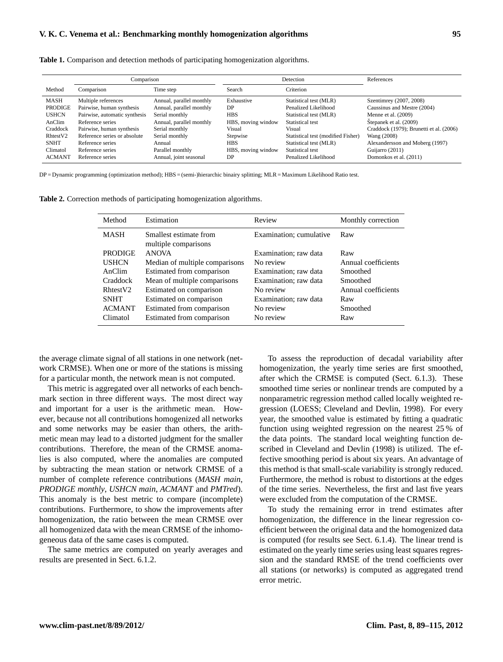| <b>Table 1.</b> Comparison and detection methods of participating homogenization algorithms. |  |  |  |
|----------------------------------------------------------------------------------------------|--|--|--|
|----------------------------------------------------------------------------------------------|--|--|--|

| Comparison           |                               |                          |                    | Detection                          | References                              |
|----------------------|-------------------------------|--------------------------|--------------------|------------------------------------|-----------------------------------------|
| Method               | Comparison                    | Time step                | Search             | Criterion                          |                                         |
| <b>MASH</b>          | Multiple references           | Annual, parallel monthly | Exhaustive         | Statistical test (MLR)             | Szentimrey (2007, 2008)                 |
| <b>PRODIGE</b>       | Pairwise, human synthesis     | Annual, parallel monthly | DP                 | Penalized Likelihood               | Caussinus and Mestre (2004)             |
| <b>USHCN</b>         | Pairwise, automatic synthesis | Serial monthly           | <b>HBS</b>         | Statistical test (MLR)             | Menne et al. $(2009)$                   |
| AnClim               | Reference series              | Annual, parallel monthly | HBS, moving window | Statistical test                   | Štepanek et al. (2009)                  |
| Craddock             | Pairwise, human synthesis     | Serial monthly           | Visual             | Visual                             | Craddock (1979); Brunetti et al. (2006) |
| Rhtest <sub>V2</sub> | Reference series or absolute  | Serial monthly           | Stepwise           | Statistical test (modified Fisher) | Wang (2008)                             |
| <b>SNHT</b>          | Reference series              | Annual                   | HBS                | Statistical test (MLR)             | Alexandersson and Moberg (1997)         |
| Climatol             | Reference series              | Parallel monthly         | HBS, moving window | Statistical test                   | Guijarro (2011)                         |
| <b>ACMANT</b>        | Reference series              | Annual, joint seasonal   | DP                 | Penalized Likelihood               | Domonkos et al. (2011)                  |

DP = Dynamic programming (optimization method); HBS = (semi-)hierarchic binairy splitting; MLR = Maximum Likelihood Ratio test.

**Table 2.** Correction methods of participating homogenization algorithms.

| Method               | Estimation                                     | Review                  | Monthly correction  |
|----------------------|------------------------------------------------|-------------------------|---------------------|
| <b>MASH</b>          | Smallest estimate from<br>multiple comparisons | Examination; cumulative | Raw                 |
| <b>PRODIGE</b>       | <b>ANOVA</b>                                   | Examination; raw data   | Raw                 |
| <b>USHCN</b>         | Median of multiple comparisons                 | No review               | Annual coefficients |
| AnClim               | Estimated from comparison                      | Examination; raw data   | Smoothed            |
| Craddock             | Mean of multiple comparisons                   | Examination; raw data   | Smoothed            |
| Rhtest <sub>V2</sub> | Estimated on comparison                        | No review               | Annual coefficients |
| <b>SNHT</b>          | Estimated on comparison                        | Examination; raw data   | Raw                 |
| <b>ACMANT</b>        | Estimated from comparison                      | No review               | Smoothed            |
| Climatol             | Estimated from comparison                      | No review               | Raw                 |

the average climate signal of all stations in one network (network CRMSE). When one or more of the stations is missing for a particular month, the network mean is not computed.

This metric is aggregated over all networks of each benchmark section in three different ways. The most direct way and important for a user is the arithmetic mean. However, because not all contributions homogenized all networks and some networks may be easier than others, the arithmetic mean may lead to a distorted judgment for the smaller contributions. Therefore, the mean of the CRMSE anomalies is also computed, where the anomalies are computed by subtracting the mean station or network CRMSE of a number of complete reference contributions (*MASH main*, *PRODIGE monthly*, *USHCN main*, *ACMANT* and *PMTred*). This anomaly is the best metric to compare (incomplete) contributions. Furthermore, to show the improvements after homogenization, the ratio between the mean CRMSE over all homogenized data with the mean CRMSE of the inhomogeneous data of the same cases is computed.

The same metrics are computed on yearly averages and results are presented in Sect. 6.1.2.

To assess the reproduction of decadal variability after homogenization, the yearly time series are first smoothed, after which the CRMSE is computed (Sect. 6.1.3). These smoothed time series or nonlinear trends are computed by a nonparametric regression method called locally weighted regression (LOESS; Cleveland and Devlin, 1998). For every year, the smoothed value is estimated by fitting a quadratic function using weighted regression on the nearest 25 % of the data points. The standard local weighting function described in Cleveland and Devlin (1998) is utilized. The effective smoothing period is about six years. An advantage of this method is that small-scale variability is strongly reduced. Furthermore, the method is robust to distortions at the edges of the time series. Nevertheless, the first and last five years were excluded from the computation of the CRMSE.

To study the remaining error in trend estimates after homogenization, the difference in the linear regression coefficient between the original data and the homogenized data is computed (for results see Sect. 6.1.4). The linear trend is estimated on the yearly time series using least squares regression and the standard RMSE of the trend coefficients over all stations (or networks) is computed as aggregated trend error metric.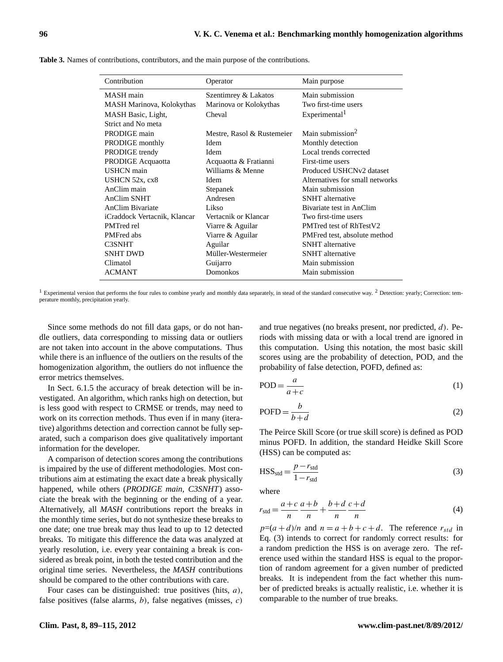| Contribution                 | Operator                   | Main purpose                    |
|------------------------------|----------------------------|---------------------------------|
| MASH main                    | Szentimrey & Lakatos       | Main submission                 |
| MASH Marinova, Kolokythas    | Marinova or Kolokythas     | Two first-time users            |
| MASH Basic, Light,           | Cheval                     | Experimental <sup>1</sup>       |
| Strict and No meta           |                            |                                 |
| PRODIGE main                 | Mestre, Rasol & Rustemeier | Main submission $2$             |
| <b>PRODIGE</b> monthly       | Idem                       | Monthly detection               |
| PRODIGE trendy               | Idem                       | Local trends corrected          |
| PRODIGE Acquaotta            | Acquaotta & Fratianni      | First-time users                |
| <b>USHCN</b> main            | Williams & Menne           | Produced USHCNv2 dataset        |
| USHCN 52x, cx8               | Idem                       | Alternatives for small networks |
| AnClim main                  | Stepanek                   | Main submission                 |
| <b>AnClim SNHT</b>           | Andresen                   | <b>SNHT</b> alternative         |
| <b>AnClim Bivariate</b>      | Likso                      | Bivariate test in AnClim        |
| iCraddock Vertacnik, Klancar | Vertacnik or Klancar       | Two first-time users            |
| PMTred rel                   | Viarre & Aguilar           | PMTred test of RhTestV2         |
| PMFred abs                   | Viarre & Aguilar           | PMFred test, absolute method    |
| C3SNHT                       | Aguilar                    | <b>SNHT</b> alternative         |
| <b>SNHT DWD</b>              | Müller-Westermeier         | <b>SNHT</b> alternative         |
| Climatol                     | Guijarro                   | Main submission                 |
| ACMANT                       | Domonkos                   | Main submission                 |

**Table 3.** Names of contributions, contributors, and the main purpose of the contributions.

<sup>1</sup> Experimental version that performs the four rules to combine yearly and monthly data separately, in stead of the standard consecutive way. <sup>2</sup> Detection: yearly; Correction: temperature monthly, precipitation yearly.

Since some methods do not fill data gaps, or do not handle outliers, data corresponding to missing data or outliers are not taken into account in the above computations. Thus while there is an influence of the outliers on the results of the homogenization algorithm, the outliers do not influence the error metrics themselves.

In Sect. 6.1.5 the accuracy of break detection will be investigated. An algorithm, which ranks high on detection, but is less good with respect to CRMSE or trends, may need to work on its correction methods. Thus even if in many (iterative) algorithms detection and correction cannot be fully separated, such a comparison does give qualitatively important information for the developer.

A comparison of detection scores among the contributions is impaired by the use of different methodologies. Most contributions aim at estimating the exact date a break physically happened, while others (*PRODIGE main, C3SNHT*) associate the break with the beginning or the ending of a year. Alternatively, all *MASH* contributions report the breaks in the monthly time series, but do not synthesize these breaks to one date; one true break may thus lead to up to 12 detected breaks. To mitigate this difference the data was analyzed at yearly resolution, i.e. every year containing a break is considered as break point, in both the tested contribution and the original time series. Nevertheless, the *MASH* contributions should be compared to the other contributions with care.

Four cases can be distinguished: true positives (hits, a), false positives (false alarms,  $b$ ), false negatives (misses,  $c$ ) and true negatives (no breaks present, nor predicted,  $d$ ). Periods with missing data or with a local trend are ignored in this computation. Using this notation, the most basic skill scores using are the probability of detection, POD, and the probability of false detection, POFD, defined as:

$$
POD = \frac{a}{a+c} \tag{1}
$$

$$
POFD = \frac{b}{b+d} \tag{2}
$$

The Peirce Skill Score (or true skill score) is defined as POD minus POFD. In addition, the standard Heidke Skill Score (HSS) can be computed as:

$$
HSS_{std} = \frac{p - r_{std}}{1 - r_{std}}
$$
 (3)

where

$$
r_{\text{std}} = \frac{a+c}{n} \frac{a+b}{n} + \frac{b+d}{n} \frac{c+d}{n} \tag{4}
$$

 $p=(a+d)/n$  and  $n = a+b+c+d$ . The reference  $r_{std}$  in Eq. (3) intends to correct for randomly correct results: for a random prediction the HSS is on average zero. The reference used within the standard HSS is equal to the proportion of random agreement for a given number of predicted breaks. It is independent from the fact whether this number of predicted breaks is actually realistic, i.e. whether it is comparable to the number of true breaks.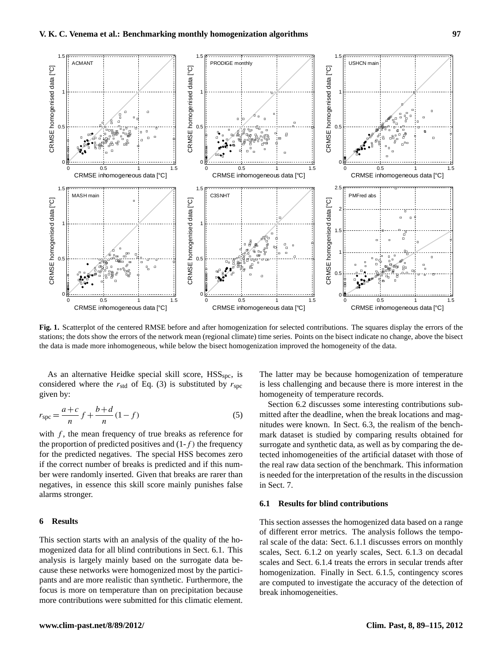

**Fig. 1.** Scatterplot of the centered RMSE before and after homogenization for selected contributions. The squares display the errors of the stations; the dots show the errors of the network mean (regional climate) time series. Points on the bisect indicate no change, above the bisect the data is made more inhomogeneous, while below the bisect homogenization improved the homogeneity of the data.

considered where the  $r_{std}$  of Eq. (3) is substituted by  $r_{spc}$  is less challenging and because there is more interest in the As an alternative Heidke special skill score,  $HSS_{\text{spc}}$ , is given by:

$$
r_{\rm spc} = \frac{a+c}{n} f + \frac{b+d}{n} (1-f)
$$
 (5)

the proportion of predicted positives and  $(1-f)$  the frequency<br>for the predicted negatives. The special HSS becomes zero tected inhomogeneities of the artificial dataset with those of for the server handel of the data be predicted and it due than with  $f$ , the mean frequency of true breaks as reference for the proportion of predicted positives and  $(1-f)$  the frequency if the correct number of breaks is predicted and if this numnegatives, in essence this skill score mainly punishes false alarms stronger.

# **6 Results**

This section starts with an analysis of the quality of the homogenized data for all blind contributions in Sect. 6.1. This analysis is largely mainly based on the surrogate data because these networks were homogenized most by the participants and are more realistic than synthetic. Furthermore, the focus is more on temperature than on precipitation because more contributions were submitted for this climatic element.

The latter may be because homogenization of temperature is less challenging and because there is more interest in the homogeneity of temperature records.

3 contributions. The squares display the errors of the stations; the dots show the errors of the Section 6.2 discusses some interesting contributions sub- $\frac{n}{t}$  network mean (requency of true breaks as reference for mark dataset is studied by comparing results obtained for  $\frac{n}{t}$ mitted after the deadline, when the break locations and magmark dataset is studied by comparing results obtained for surrogate and synthetic data, as well as by comparing the detected inhomogeneities of the artificial dataset with those of the real raw data section of the benchmark. This information is needed for the interpretation of the results in the discussion in Sect. 7.

# **6.1 Results for blind contributions**

This section assesses the homogenized data based on a range of different error metrics. The analysis follows the temporal scale of the data: Sect. 6.1.1 discusses errors on monthly scales, Sect. 6.1.2 on yearly scales, Sect. 6.1.3 on decadal scales and Sect. 6.1.4 treats the errors in secular trends after homogenization. Finally in Sect. 6.1.5, contingency scores are computed to investigate the accuracy of the detection of break inhomogeneities.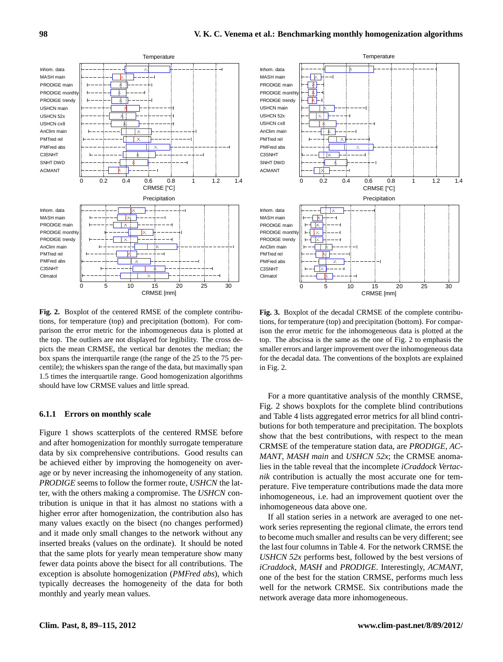

Figure 2. Boxplot of the contributions of the complete contributions, for temperature (top) and precipitation (bottom). For comparison the error metric for the inhomogeneous data is plotted at is the top. The outliers are not displayed for legibility. The cross depicts the mean CRMSE, the vertical bar denotes the median; the sign box spans the interquartile range (the range of the 25 to the 75 per-<br>formally spanned the range of the 25 to the 75 percentile); the whiskers span the range of the data, but maximally span in 1.5 times the interquartile range. Good homogenization algorithms **Fig. 2.** Boxplot of the centered RMSE of the complete contribushould have low CRMSE values and little spread.

## **6.1.1 Errors on monthly scale**

Figure 1 shows scatterplots of the centered RMSE before and after homogenization for monthly surrogate temperature data by six comprehensive contributions. Good results can be achieved either by improving the homogeneity on average or by never increasing the inhomogeneity of any station. *PRODIGE* seems to follow the former route, *USHCN* the latter, with the others making a compromise. The *USHCN* contribution is unique in that it has almost no stations with a higher error after homogenization, the contribution also has many values exactly on the bisect (no changes performed) and it made only small changes to the network without any inserted breaks (values on the ordinate). It should be noted that the same plots for yearly mean temperature show many fewer data points above the bisect for all contributions. The exception is absolute homogenization (*PMFred abs*), which typically decreases the homogeneity of the data for both 6.1.1 Errors on monthly scale<br>
Fig. 2 shows boxplots for the complete blind contributions<br>
Figure 1 shows scatterplots of the centered RMSE before<br>
butions for both temperature and precipitation. The boxplots<br>
and after h



**Fig. 3.** Boxplot of the decadal CRMSE of the complete contributions, for temperature (top) and precipitation (bottom). For compartop. The abscissa is the same as the one of Fig. 2 to emphasis the  $\frac{1}{2}$ e smaller errors and larger improvement over the inhomogeneous data for the decadal data. The conventions of the boxplots are explained ison the error metric for the inhomogeneous data is plotted at the in Fig. 2.

Fig. 2 shows boxplots for the complete blind contributions For a more quantitative analysis of the monthly CRMSE, and Table 4 lists aggregated error metrics for all blind contributions for both temperature and precipitation. The boxplots show that the best contributions, with respect to the mean CRMSE of the temperature station data, are *PRODIGE*, *AC-MANT*, *MASH main* and *USHCN 52x*; the CRMSE anomalies in the table reveal that the incomplete *iCraddock Vertacnik* contribution is actually the most accurate one for temperature. Five temperature contributions made the data more inhomogeneous, i.e. had an improvement quotient over the inhomogeneous data above one.

If all station series in a network are averaged to one network series representing the regional climate, the errors tend to become much smaller and results can be very different; see the last four columns in Table 4. For the network CRMSE the *USHCN 52x* performs best, followed by the best versions of *iCraddock*, *MASH* and *PRODIGE*. Interestingly, *ACMANT*, one of the best for the station CRMSE, performs much less well for the network CRMSE. Six contributions made the network average data more inhomogeneous.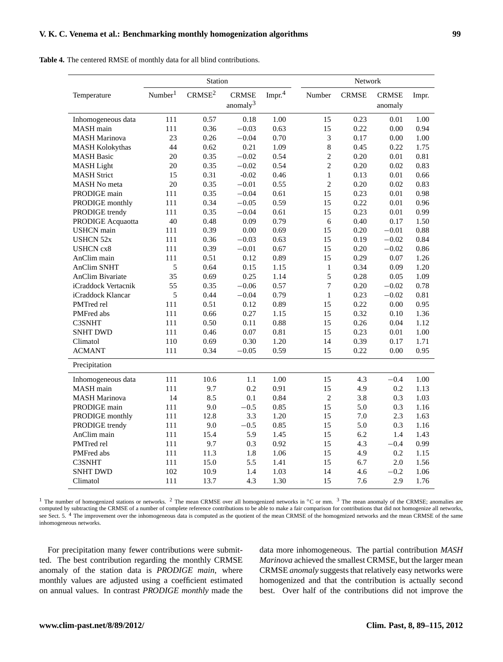**Table 4.** The centered RMSE of monthly data for all blind contributions.

|                         |                     | Station            |                             |                    |                | Network      |                         |       |
|-------------------------|---------------------|--------------------|-----------------------------|--------------------|----------------|--------------|-------------------------|-------|
| Temperature             | Number <sup>1</sup> | CRMSE <sup>2</sup> | <b>CRMSE</b><br>anomaly $3$ | Impr. <sup>4</sup> | Number         | <b>CRMSE</b> | <b>CRMSE</b><br>anomaly | Impr. |
| Inhomogeneous data      | 111                 | 0.57               | 0.18                        | 1.00               | 15             | 0.23         | 0.01                    | 1.00  |
| <b>MASH</b> main        | 111                 | 0.36               | $-0.03$                     | 0.63               | 15             | 0.22         | 0.00                    | 0.94  |
| <b>MASH Marinova</b>    | 23                  | 0.26               | $-0.04$                     | 0.70               | 3              | 0.17         | 0.00                    | 1.00  |
| <b>MASH Kolokythas</b>  | 44                  | 0.62               | 0.21                        | 1.09               | 8              | 0.45         | 0.22                    | 1.75  |
| <b>MASH Basic</b>       | 20                  | 0.35               | $-0.02$                     | 0.54               | $\overline{c}$ | 0.20         | 0.01                    | 0.81  |
| <b>MASH</b> Light       | 20                  | 0.35               | $-0.02$                     | 0.54               | $\overline{c}$ | 0.20         | 0.02                    | 0.83  |
| <b>MASH Strict</b>      | 15                  | 0.31               | $-0.02$                     | 0.46               | $\mathbf{1}$   | 0.13         | 0.01                    | 0.66  |
| <b>MASH</b> No meta     | 20                  | 0.35               | $-0.01$                     | 0.55               | $\overline{c}$ | 0.20         | 0.02                    | 0.83  |
| PRODIGE main            | 111                 | 0.35               | $-0.04$                     | 0.61               | 15             | 0.23         | 0.01                    | 0.98  |
| PRODIGE monthly         | 111                 | 0.34               | $-0.05$                     | 0.59               | 15             | 0.22         | 0.01                    | 0.96  |
| PRODIGE trendy          | 111                 | 0.35               | $-0.04$                     | 0.61               | 15             | 0.23         | 0.01                    | 0.99  |
| PRODIGE Acquaotta       | 40                  | 0.48               | 0.09                        | 0.79               | 6              | 0.40         | 0.17                    | 1.50  |
| <b>USHCN</b> main       | 111                 | 0.39               | 0.00                        | 0.69               | 15             | 0.20         | $-0.01$                 | 0.88  |
| <b>USHCN 52x</b>        | 111                 | 0.36               | $-0.03$                     | 0.63               | 15             | 0.19         | $-0.02$                 | 0.84  |
| <b>USHCN</b> cx8        | 111                 | 0.39               | $-0.01$                     | 0.67               | 15             | 0.20         | $-0.02$                 | 0.86  |
| AnClim main             | 111                 | 0.51               | 0.12                        | 0.89               | 15             | 0.29         | 0.07                    | 1.26  |
| <b>AnClim SNHT</b>      | 5                   | 0.64               | 0.15                        | 1.15               | 1              | 0.34         | 0.09                    | 1.20  |
| <b>AnClim Bivariate</b> | 35                  | 0.69               | 0.25                        | 1.14               | 5              | 0.28         | 0.05                    | 1.09  |
| iCraddock Vertacnik     | 55                  | 0.35               | $-0.06$                     | 0.57               | 7              | 0.20         | $-0.02$                 | 0.78  |
| iCraddock Klancar       | 5                   | 0.44               | $-0.04$                     | 0.79               | $\mathbf{1}$   | 0.23         | $-0.02$                 | 0.81  |
| PMTred rel              | 111                 | 0.51               | 0.12                        | 0.89               | 15             | 0.22         | $0.00\,$                | 0.95  |
| PMFred abs              | 111                 | 0.66               | 0.27                        | 1.15               | 15             | 0.32         | 0.10                    | 1.36  |
| C3SNHT                  | 111                 | 0.50               | 0.11                        | 0.88               | 15             | 0.26         | 0.04                    | 1.12  |
| <b>SNHT DWD</b>         | 111                 | 0.46               | 0.07                        | 0.81               | 15             | 0.23         | 0.01                    | 1.00  |
| Climatol                | 110                 | 0.69               | 0.30                        | 1.20               | 14             | 0.39         | 0.17                    | 1.71  |
| <b>ACMANT</b>           | 111                 | 0.34               | $-0.05$                     | 0.59               | 15             | 0.22         | 0.00                    | 0.95  |
| Precipitation           |                     |                    |                             |                    |                |              |                         |       |
| Inhomogeneous data      | 111                 | 10.6               | 1.1                         | 1.00               | 15             | 4.3          | $-0.4$                  | 1.00  |
| <b>MASH</b> main        | 111                 | 9.7                | 0.2                         | 0.91               | 15             | 4.9          | 0.2                     | 1.13  |
| <b>MASH Marinova</b>    | 14                  | 8.5                | 0.1                         | 0.84               | $\mathbf{2}$   | 3.8          | 0.3                     | 1.03  |
| PRODIGE main            | 111                 | 9.0                | $-0.5$                      | 0.85               | 15             | 5.0          | 0.3                     | 1.16  |
| PRODIGE monthly         | 111                 | 12.8               | 3.3                         | 1.20               | 15             | 7.0          | 2.3                     | 1.63  |
| PRODIGE trendy          | 111                 | 9.0                | $-0.5$                      | 0.85               | 15             | 5.0          | 0.3                     | 1.16  |
| AnClim main             | 111                 | 15.4               | 5.9                         | 1.45               | 15             | 6.2          | 1.4                     | 1.43  |
| PMTred rel              | 111                 | 9.7                | 0.3                         | 0.92               | 15             | 4.3          | $-0.4$                  | 0.99  |
| PMFred abs              | 111                 | 11.3               | 1.8                         | 1.06               | 15             | 4.9          | 0.2                     | 1.15  |
| C3SNHT                  | 111                 | 15.0               | 5.5                         | 1.41               | 15             | 6.7          | 2.0                     | 1.56  |
| <b>SNHT DWD</b>         | 102                 | 10.9               | 1.4                         | 1.03               | 14             | 4.6          | $-0.2$                  | 1.06  |
| Climatol                | 111                 | 13.7               | 4.3                         | 1.30               | 15             | 7.6          | 2.9                     | 1.76  |

<sup>1</sup> The number of homogenized stations or networks. <sup>2</sup> The mean CRMSE over all homogenized networks in  $^{\circ}$ C or mm.<sup>3</sup> The mean anomaly of the CRMSE; anomalies are computed by subtracting the CRMSE of a number of compl inhomogeneous networks.

For precipitation many fewer contributions were submitted. The best contribution regarding the monthly CRMSE anomaly of the station data is *PRODIGE main*, where monthly values are adjusted using a coefficient estimated on annual values. In contrast *PRODIGE monthly* made the data more inhomogeneous. The partial contribution *MASH Marinova* achieved the smallest CRMSE, but the larger mean CRMSE *anomaly* suggests that relatively easy networks were homogenized and that the contribution is actually second best. Over half of the contributions did not improve the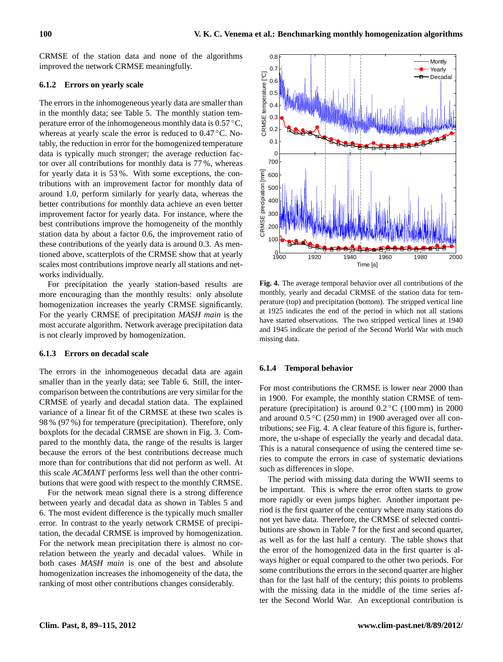CRMSE of the station data and none of the algorithms improved the network CRMSE meaningfully.

## **6.1.2 Errors on yearly scale**

The errors in the inhomogeneous yearly data are smaller than in the monthly data; see Table 5. The monthly station temperature error of the inhomogeneous monthly data is  $0.57 \degree C$ , whereas at yearly scale the error is reduced to 0.47 °C. Notably, the reduction in error for the homogenized temperature data is typically much stronger; the average reduction factor over all contributions for monthly data is 77 %, whereas for yearly data it is 53 %. With some exceptions, the contributions with an improvement factor for monthly data of around 1.0, perform similarly for yearly data, whereas the better contributions for monthly data achieve an even better improvement factor for yearly data. For instance, where the best contributions improve the homogeneity of the monthly station data by about a factor 0.6, the improvement ratio of these contributions of the yearly data is around 0.3. As mentioned above, scatterplots of the CRMSE show that at yearly scales most contributions improve nearly all stations and networks individually.

For precipitation the yearly station-based results are 1 more encouraging than the monthly results: only absolute homogenization increases the yearly CRMSE significantly. For the yearly CRMSE of precipitation *MASH main* is the most accurate algorithm. Network average precipitation data is not clearly improved by homogenization.

# **6.1.3 Errors on decadal scale**

The errors in the inhomogeneous decadal data are again smaller than in the yearly data; see Table 6. Still, the intercomparison between the contributions are very similar for the CRMSE of yearly and decadal station data. The explained variance of a linear fit of the CRMSE at these two scales is 98 % (97 %) for temperature (precipitation). Therefore, only boxplots for the decadal CRMSE are shown in Fig. 3. Compared to the monthly data, the range of the results is larger because the errors of the best contributions decrease much more than for contributions that did not perform as well. At this scale *ACMANT* performs less well than the other contributions that were good with respect to the monthly CRMSE.

For the network mean signal there is a strong difference between yearly and decadal data as shown in Tables 5 and 6. The most evident difference is the typically much smaller error. In contrast to the yearly network CRMSE of precipitation, the decadal CRMSE is improved by homogenization. For the network mean precipitation there is almost no correlation between the yearly and decadal values. While in both cases *MASH main* is one of the best and absolute homogenization increases the inhomogeneity of the data, the ranking of most other contributions changes considerably.



nte monthly, yearly and decadal CRMSE of the station data for tem- $\text{d} \mathbf{y}$ , perature (top) and precipitation (bottom). The stripped vertical line the  $\frac{at 1925}{at 1925}$  indicates the end of the period in which not all stations have started observations. The two stripped vertical lines at 1940 ata and 1945 indicate the period of the Second World War with much missing data. **Fig. 4.** The average temporal behavior over all contributions of the at 1925 indicates the end of the period in which not all stations

# **6.1.4 Temporal behavior**

64 For most contributions the CRMSE is lower near 2000 than in 1900. For example, the monthly station CRMSE of temperature (precipitation) is around  $0.2 \degree$ C (100 mm) in 2000 and around 0.5 ◦C (250 mm) in 1900 averaged over all contributions; see Fig. 4. A clear feature of this figure is, furthermore, the u-shape of especially the yearly and decadal data. This is a natural consequence of using the centered time series to compute the errors in case of systematic deviations such as differences in slope.

The period with missing data during the WWII seems to be important. This is where the error often starts to grow more rapidly or even jumps higher. Another important period is the first quarter of the century where many stations do not yet have data. Therefore, the CRMSE of selected contributions are shown in Table 7 for the first and second quarter, as well as for the last half a century. The table shows that the error of the homogenized data in the first quarter is always higher or equal compared to the other two periods. For some contributions the errors in the second quarter are higher than for the last half of the century; this points to problems with the missing data in the middle of the time series after the Second World War. An exceptional contribution is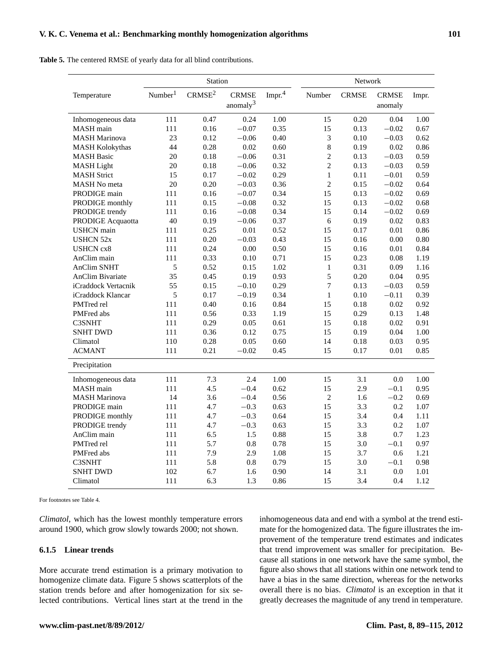**Table 5.** The centered RMSE of yearly data for all blind contributions.

|                         |                     | <b>Station</b>     |                             |                   |                | Network      |                         |       |
|-------------------------|---------------------|--------------------|-----------------------------|-------------------|----------------|--------------|-------------------------|-------|
| Temperature             | Number <sup>1</sup> | CRMSE <sup>2</sup> | <b>CRMSE</b><br>anomaly $3$ | Impr <sup>4</sup> | Number         | <b>CRMSE</b> | <b>CRMSE</b><br>anomaly | Impr. |
| Inhomogeneous data      | 111                 | 0.47               | 0.24                        | 1.00              | 15             | 0.20         | 0.04                    | 1.00  |
| MASH main               | 111                 | 0.16               | $-0.07$                     | 0.35              | 15             | 0.13         | $-0.02$                 | 0.67  |
| <b>MASH Marinova</b>    | 23                  | 0.12               | $-0.06$                     | 0.40              | 3              | 0.10         | $-0.03$                 | 0.62  |
| <b>MASH Kolokythas</b>  | 44                  | 0.28               | 0.02                        | 0.60              | 8              | 0.19         | 0.02                    | 0.86  |
| <b>MASH Basic</b>       | 20                  | 0.18               | $-0.06$                     | 0.31              | $\overline{c}$ | 0.13         | $-0.03$                 | 0.59  |
| <b>MASH</b> Light       | 20                  | 0.18               | $-0.06$                     | 0.32              | $\overline{c}$ | 0.13         | $-0.03$                 | 0.59  |
| <b>MASH Strict</b>      | 15                  | 0.17               | $-0.02$                     | 0.29              | $\,1$          | 0.11         | $-0.01$                 | 0.59  |
| <b>MASH</b> No meta     | 20                  | 0.20               | $-0.03$                     | 0.36              | $\overline{c}$ | 0.15         | $-0.02$                 | 0.64  |
| PRODIGE main            | 111                 | 0.16               | $-0.07$                     | 0.34              | 15             | 0.13         | $-0.02$                 | 0.69  |
| PRODIGE monthly         | 111                 | 0.15               | $-0.08$                     | 0.32              | 15             | 0.13         | $-0.02$                 | 0.68  |
| PRODIGE trendy          | 111                 | 0.16               | $-0.08$                     | 0.34              | 15             | 0.14         | $-0.02$                 | 0.69  |
| PRODIGE Acquaotta       | 40                  | 0.19               | $-0.06$                     | 0.37              | 6              | 0.19         | 0.02                    | 0.83  |
| <b>USHCN</b> main       | 111                 | 0.25               | 0.01                        | 0.52              | 15             | 0.17         | 0.01                    | 0.86  |
| <b>USHCN 52x</b>        | 111                 | 0.20               | $-0.03$                     | 0.43              | 15             | 0.16         | 0.00                    | 0.80  |
| <b>USHCN</b> cx8        | 111                 | 0.24               | 0.00                        | 0.50              | 15             | 0.16         | 0.01                    | 0.84  |
| AnClim main             | 111                 | 0.33               | 0.10                        | 0.71              | 15             | 0.23         | 0.08                    | 1.19  |
| <b>AnClim SNHT</b>      | 5                   | 0.52               | 0.15                        | 1.02              | $\mathbf{1}$   | 0.31         | 0.09                    | 1.16  |
| <b>AnClim Bivariate</b> | 35                  | 0.45               | 0.19                        | 0.93              | 5              | 0.20         | 0.04                    | 0.95  |
| iCraddock Vertacnik     | 55                  | 0.15               | $-0.10$                     | 0.29              | 7              | 0.13         | $-0.03$                 | 0.59  |
| iCraddock Klancar       | 5                   | 0.17               | $-0.19$                     | 0.34              | $\mathbf{1}$   | 0.10         | $-0.11$                 | 0.39  |
| PMTred rel              | 111                 | 0.40               | 0.16                        | 0.84              | 15             | 0.18         | 0.02                    | 0.92  |
| PMFred abs              | 111                 | 0.56               | 0.33                        | 1.19              | 15             | 0.29         | 0.13                    | 1.48  |
| C3SNHT                  | 111                 | 0.29               | 0.05                        | 0.61              | 15             | 0.18         | 0.02                    | 0.91  |
| <b>SNHT DWD</b>         | 111                 | 0.36               | 0.12                        | 0.75              | 15             | 0.19         | 0.04                    | 1.00  |
| Climatol                | 110                 | 0.28               | 0.05                        | 0.60              | 14             | 0.18         | 0.03                    | 0.95  |
| <b>ACMANT</b>           | 111                 | 0.21               | $-0.02$                     | 0.45              | 15             | 0.17         | 0.01                    | 0.85  |
| Precipitation           |                     |                    |                             |                   |                |              |                         |       |
| Inhomogeneous data      | 111                 | 7.3                | 2.4                         | 1.00              | 15             | 3.1          | 0.0                     | 1.00  |
| MASH main               | 111                 | 4.5                | $-0.4$                      | 0.62              | 15             | 2.9          | $-0.1$                  | 0.95  |
| <b>MASH Marinova</b>    | 14                  | 3.6                | $-0.4$                      | 0.56              | $\overline{c}$ | 1.6          | $-0.2$                  | 0.69  |
| PRODIGE main            | 111                 | 4.7                | $-0.3$                      | 0.63              | 15             | 3.3          | 0.2                     | 1.07  |
| PRODIGE monthly         | 111                 | 4.7                | $-0.3$                      | 0.64              | 15             | 3.4          | 0.4                     | 1.11  |
| PRODIGE trendy          | 111                 | 4.7                | $-0.3$                      | 0.63              | 15             | 3.3          | 0.2                     | 1.07  |
| AnClim main             | 111                 | 6.5                | 1.5                         | 0.88              | 15             | 3.8          | 0.7                     | 1.23  |
| PMTred rel              | 111                 | 5.7                | 0.8                         | 0.78              | 15             | 3.0          | $-0.1$                  | 0.97  |
| PMFred abs              | 111                 | 7.9                | 2.9                         | 1.08              | 15             | 3.7          | 0.6                     | 1.21  |
| <b>C3SNHT</b>           | 111                 | 5.8                | 0.8                         | 0.79              | 15             | 3.0          | $-0.1$                  | 0.98  |
| <b>SNHT DWD</b>         | 102                 | 6.7                | 1.6                         | 0.90              | 14             | 3.1          | 0.0                     | 1.01  |
| Climatol                | 111                 | 6.3                | 1.3                         | 0.86              | 15             | 3.4          | 0.4                     | 1.12  |

For footnotes see Table 4.

*Climatol*, which has the lowest monthly temperature errors around 1900, which grow slowly towards 2000; not shown.

# **6.1.5 Linear trends**

More accurate trend estimation is a primary motivation to homogenize climate data. Figure 5 shows scatterplots of the station trends before and after homogenization for six selected contributions. Vertical lines start at the trend in the inhomogeneous data and end with a symbol at the trend estimate for the homogenized data. The figure illustrates the improvement of the temperature trend estimates and indicates that trend improvement was smaller for precipitation. Because all stations in one network have the same symbol, the figure also shows that all stations within one network tend to have a bias in the same direction, whereas for the networks overall there is no bias. *Climatol* is an exception in that it greatly decreases the magnitude of any trend in temperature.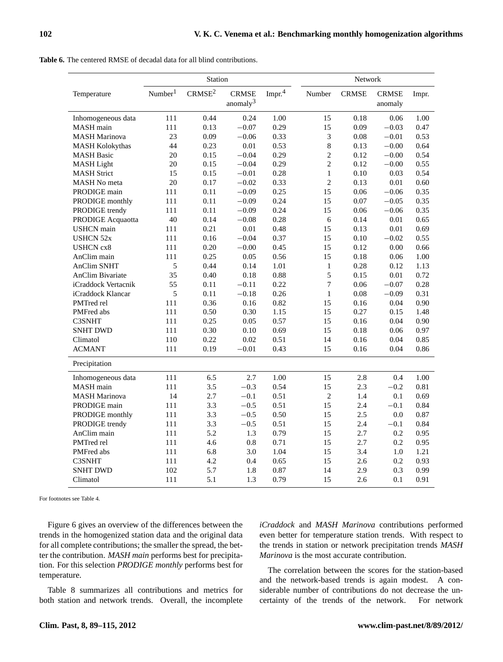| <b>Table 6.</b> The centered RMSE of decadal data for all blind contributions. |
|--------------------------------------------------------------------------------|
|--------------------------------------------------------------------------------|

|                          |                     | Station            |                                      |                    |                | Network      |                         |       |
|--------------------------|---------------------|--------------------|--------------------------------------|--------------------|----------------|--------------|-------------------------|-------|
| Temperature              | Number <sup>1</sup> | $\mathrm{CRMSE}^2$ | <b>CRMSE</b><br>anomaly <sup>3</sup> | Impr. <sup>4</sup> | Number         | <b>CRMSE</b> | <b>CRMSE</b><br>anomaly | Impr. |
| Inhomogeneous data       | 111                 | 0.44               | 0.24                                 | 1.00               | 15             | 0.18         | 0.06                    | 1.00  |
| <b>MASH</b> main         | 111                 | 0.13               | $-0.07$                              | 0.29               | 15             | 0.09         | $-0.03$                 | 0.47  |
| <b>MASH Marinova</b>     | 23                  | 0.09               | $-0.06$                              | 0.33               | 3              | 0.08         | $-0.01$                 | 0.53  |
| <b>MASH Kolokythas</b>   | 44                  | 0.23               | 0.01                                 | 0.53               | $\,$ 8 $\,$    | 0.13         | $-0.00$                 | 0.64  |
| <b>MASH Basic</b>        | 20                  | 0.15               | $-0.04$                              | 0.29               | $\overline{2}$ | 0.12         | $-0.00$                 | 0.54  |
| MASH Light               | 20                  | 0.15               | $-0.04$                              | 0.29               | $\overline{c}$ | 0.12         | $-0.00$                 | 0.55  |
| <b>MASH Strict</b>       | 15                  | 0.15               | $-0.01$                              | 0.28               | $\mathbf{1}$   | 0.10         | 0.03                    | 0.54  |
| <b>MASH</b> No meta      | 20                  | 0.17               | $-0.02$                              | 0.33               | $\overline{2}$ | 0.13         | 0.01                    | 0.60  |
| PRODIGE main             | 111                 | 0.11               | $-0.09$                              | 0.25               | 15             | 0.06         | $-0.06$                 | 0.35  |
| PRODIGE monthly          | 111                 | 0.11               | $-0.09$                              | 0.24               | 15             | 0.07         | $-0.05$                 | 0.35  |
| PRODIGE trendy           | 111                 | 0.11               | $-0.09$                              | 0.24               | 15             | 0.06         | $-0.06$                 | 0.35  |
| <b>PRODIGE</b> Acquaotta | 40                  | 0.14               | $-0.08$                              | 0.28               | 6              | 0.14         | 0.01                    | 0.65  |
| <b>USHCN</b> main        | 111                 | 0.21               | $0.01\,$                             | 0.48               | 15             | 0.13         | 0.01                    | 0.69  |
| USHCN 52x                | 111                 | 0.16               | $-0.04$                              | 0.37               | 15             | 0.10         | $-0.02$                 | 0.55  |
| <b>USHCN</b> cx8         | 111                 | 0.20               | $-0.00$                              | 0.45               | 15             | 0.12         | 0.00                    | 0.66  |
| AnClim main              | 111                 | 0.25               | 0.05                                 | 0.56               | 15             | 0.18         | 0.06                    | 1.00  |
| <b>AnClim SNHT</b>       | 5                   | 0.44               | 0.14                                 | 1.01               | $\mathbf{1}$   | 0.28         | 0.12                    | 1.13  |
| <b>AnClim Bivariate</b>  | 35                  | 0.40               | 0.18                                 | 0.88               | 5              | 0.15         | 0.01                    | 0.72  |
| iCraddock Vertacnik      | 55                  | 0.11               | $-0.11$                              | 0.22               | 7              | 0.06         | $-0.07$                 | 0.28  |
| iCraddock Klancar        | 5                   | 0.11               | $-0.18$                              | 0.26               | $\,1\,$        | 0.08         | $-0.09$                 | 0.31  |
| PMTred rel               | 111                 | 0.36               | 0.16                                 | 0.82               | 15             | 0.16         | 0.04                    | 0.90  |
| PMFred abs               | 111                 | 0.50               | 0.30                                 | 1.15               | 15             | 0.27         | 0.15                    | 1.48  |
| <b>C3SNHT</b>            | 111                 | 0.25               | 0.05                                 | 0.57               | 15             | 0.16         | 0.04                    | 0.90  |
| <b>SNHT DWD</b>          | 111                 | 0.30               | 0.10                                 | 0.69               | 15             | 0.18         | 0.06                    | 0.97  |
| Climatol                 | 110                 | 0.22               | 0.02                                 | 0.51               | 14             | 0.16         | 0.04                    | 0.85  |
| <b>ACMANT</b>            | 111                 | 0.19               | $-0.01$                              | 0.43               | 15             | 0.16         | 0.04                    | 0.86  |
| Precipitation            |                     |                    |                                      |                    |                |              |                         |       |
| Inhomogeneous data       | 111                 | 6.5                | 2.7                                  | 1.00               | 15             | 2.8          | 0.4                     | 1.00  |
| <b>MASH</b> main         | 111                 | 3.5                | $-0.3$                               | 0.54               | 15             | 2.3          | $-0.2$                  | 0.81  |
| <b>MASH Marinova</b>     | 14                  | 2.7                | $-0.1$                               | 0.51               | $\overline{c}$ | 1.4          | 0.1                     | 0.69  |
| PRODIGE main             | 111                 | 3.3                | $-0.5$                               | 0.51               | 15             | 2.4          | $-0.1$                  | 0.84  |
| PRODIGE monthly          | 111                 | 3.3                | $-0.5$                               | 0.50               | 15             | 2.5          | 0.0                     | 0.87  |
| PRODIGE trendy           | 111                 | 3.3                | $-0.5$                               | 0.51               | 15             | 2.4          | $-0.1$                  | 0.84  |
| AnClim main              | 111                 | 5.2                | 1.3                                  | 0.79               | 15             | 2.7          | 0.2                     | 0.95  |
| PMTred rel               | 111                 | 4.6                | 0.8                                  | 0.71               | 15             | 2.7          | 0.2                     | 0.95  |
| PMFred abs               | 111                 | 6.8                | 3.0                                  | 1.04               | 15             | 3.4          | 1.0                     | 1.21  |
| <b>C3SNHT</b>            | 111                 | 4.2                | 0.4                                  | 0.65               | 15             | 2.6          | 0.2                     | 0.93  |
| <b>SNHT DWD</b>          | 102                 | 5.7                | 1.8                                  | 0.87               | 14             | 2.9          | 0.3                     | 0.99  |
| Climatol                 | 111                 | 5.1                | 1.3                                  | 0.79               | 15             | 2.6          | 0.1                     | 0.91  |

For footnotes see Table 4.

Figure 6 gives an overview of the differences between the trends in the homogenized station data and the original data for all complete contributions; the smaller the spread, the better the contribution. *MASH main* performs best for precipitation. For this selection *PRODIGE monthly* performs best for temperature.

Table 8 summarizes all contributions and metrics for both station and network trends. Overall, the incomplete

*iCraddock* and *MASH Marinova* contributions performed even better for temperature station trends. With respect to the trends in station or network precipitation trends *MASH Marinova* is the most accurate contribution.

The correlation between the scores for the station-based and the network-based trends is again modest. A considerable number of contributions do not decrease the uncertainty of the trends of the network. For network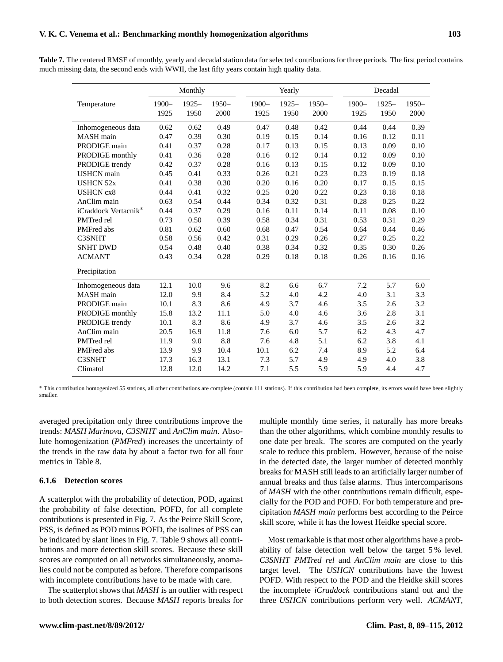**Table 7.** The centered RMSE of monthly, yearly and decadal station data for selected contributions for three periods. The first period contains much missing data, the second ends with WWII, the last fifty years contain high quality data.

|                      |          | Monthly  |          |          | Yearly   |          |          | Decadal  |         |
|----------------------|----------|----------|----------|----------|----------|----------|----------|----------|---------|
| Temperature          | $1900 -$ | $1925 -$ | $1950 -$ | $1900 -$ | $1925 -$ | $1950 -$ | $1900 -$ | $1925 -$ | $1950-$ |
|                      | 1925     | 1950     | 2000     | 1925     | 1950     | 2000     | 1925     | 1950     | 2000    |
| Inhomogeneous data   | 0.62     | 0.62     | 0.49     | 0.47     | 0.48     | 0.42     | 0.44     | 0.44     | 0.39    |
| <b>MASH</b> main     | 0.47     | 0.39     | 0.30     | 0.19     | 0.15     | 0.14     | 0.16     | 0.12     | 0.11    |
| PRODIGE main         | 0.41     | 0.37     | 0.28     | 0.17     | 0.13     | 0.15     | 0.13     | 0.09     | 0.10    |
| PRODIGE monthly      | 0.41     | 0.36     | 0.28     | 0.16     | 0.12     | 0.14     | 0.12     | 0.09     | 0.10    |
| PRODIGE trendy       | 0.42     | 0.37     | 0.28     | 0.16     | 0.13     | 0.15     | 0.12     | 0.09     | 0.10    |
| <b>USHCN</b> main    | 0.45     | 0.41     | 0.33     | 0.26     | 0.21     | 0.23     | 0.23     | 0.19     | 0.18    |
| <b>USHCN 52x</b>     | 0.41     | 0.38     | 0.30     | 0.20     | 0.16     | 0.20     | 0.17     | 0.15     | 0.15    |
| <b>USHCN</b> cx8     | 0.44     | 0.41     | 0.32     | 0.25     | 0.20     | 0.22     | 0.23     | 0.18     | 0.18    |
| AnClim main          | 0.63     | 0.54     | 0.44     | 0.34     | 0.32     | 0.31     | 0.28     | 0.25     | 0.22    |
| iCraddock Vertacnik* | 0.44     | 0.37     | 0.29     | 0.16     | 0.11     | 0.14     | 0.11     | 0.08     | 0.10    |
| PMTred rel           | 0.73     | 0.50     | 0.39     | 0.58     | 0.34     | 0.31     | 0.53     | 0.31     | 0.29    |
| PMFred abs           | 0.81     | 0.62     | 0.60     | 0.68     | 0.47     | 0.54     | 0.64     | 0.44     | 0.46    |
| <b>C3SNHT</b>        | 0.58     | 0.56     | 0.42     | 0.31     | 0.29     | 0.26     | 0.27     | 0.25     | 0.22    |
| <b>SNHT DWD</b>      | 0.54     | 0.48     | 0.40     | 0.38     | 0.34     | 0.32     | 0.35     | 0.30     | 0.26    |
| <b>ACMANT</b>        | 0.43     | 0.34     | 0.28     | 0.29     | 0.18     | 0.18     | 0.26     | 0.16     | 0.16    |
| Precipitation        |          |          |          |          |          |          |          |          |         |
| Inhomogeneous data   | 12.1     | 10.0     | 9.6      | 8.2      | 6.6      | 6.7      | 7.2      | 5.7      | 6.0     |
| <b>MASH</b> main     | 12.0     | 9.9      | 8.4      | 5.2      | 4.0      | 4.2      | 4.0      | 3.1      | 3.3     |
| PRODIGE main         | 10.1     | 8.3      | 8.6      | 4.9      | 3.7      | 4.6      | 3.5      | 2.6      | 3.2     |
| PRODIGE monthly      | 15.8     | 13.2     | 11.1     | 5.0      | 4.0      | 4.6      | 3.6      | 2.8      | 3.1     |
| PRODIGE trendy       | 10.1     | 8.3      | 8.6      | 4.9      | 3.7      | 4.6      | 3.5      | 2.6      | 3.2     |
| AnClim main          | 20.5     | 16.9     | 11.8     | 7.6      | 6.0      | 5.7      | 6.2      | 4.3      | 4.7     |
| PMTred rel           | 11.9     | 9.0      | 8.8      | 7.6      | 4.8      | 5.1      | 6.2      | 3.8      | 4.1     |
| PMFred abs           | 13.9     | 9.9      | 10.4     | 10.1     | 6.2      | 7.4      | 8.9      | 5.2      | 6.4     |
| <b>C3SNHT</b>        | 17.3     | 16.3     | 13.1     | 7.3      | 5.7      | 4.9      | 4.9      | 4.0      | 3.8     |
| Climatol             | 12.8     | 12.0     | 14.2     | 7.1      | 5.5      | 5.9      | 5.9      | 4.4      | 4.7     |

<sup>∗</sup> This contribution homogenized 55 stations, all other contributions are complete (contain 111 stations). If this contribution had been complete, its errors would have been slightly smaller

averaged precipitation only three contributions improve the trends: *MASH Marinova*, *C3SNHT* and *AnClim main.* Absolute homogenization (*PMFred*) increases the uncertainty of the trends in the raw data by about a factor two for all four metrics in Table 8.

## **6.1.6 Detection scores**

A scatterplot with the probability of detection, POD, against the probability of false detection, POFD, for all complete contributions is presented in Fig. 7. As the Peirce Skill Score, PSS, is defined as POD minus POFD, the isolines of PSS can be indicated by slant lines in Fig. 7. Table 9 shows all contributions and more detection skill scores. Because these skill scores are computed on all networks simultaneously, anomalies could not be computed as before. Therefore comparisons with incomplete contributions have to be made with care.

The scatterplot shows that *MASH* is an outlier with respect to both detection scores. Because *MASH* reports breaks for multiple monthly time series, it naturally has more breaks than the other algorithms, which combine monthly results to one date per break. The scores are computed on the yearly scale to reduce this problem. However, because of the noise in the detected date, the larger number of detected monthly breaks for MASH still leads to an artificially larger number of annual breaks and thus false alarms. Thus intercomparisons of *MASH* with the other contributions remain difficult, especially for the POD and POFD. For both temperature and precipitation *MASH main* performs best according to the Peirce skill score, while it has the lowest Heidke special score.

Most remarkable is that most other algorithms have a probability of false detection well below the target 5 % level. *C3SNHT PMTred rel* and *AnClim main* are close to this target level. The *USHCN* contributions have the lowest POFD. With respect to the POD and the Heidke skill scores the incomplete *iCraddock* contributions stand out and the three *USHCN* contributions perform very well. *ACMANT*,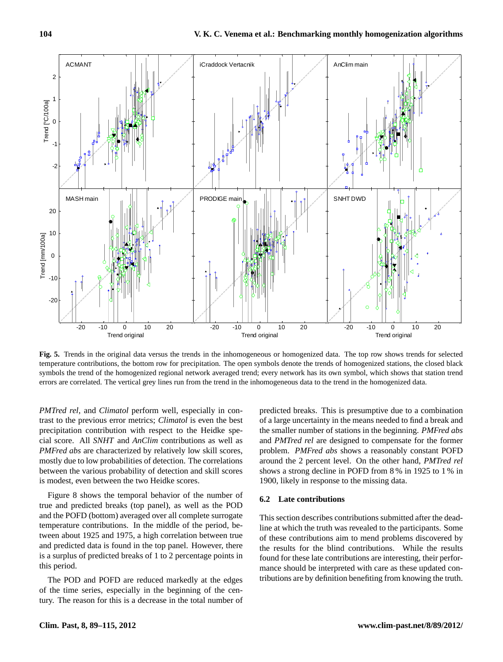

**Fig. 5.** Trends in the original data versus the trends in the inhomogeneous or homogenized data. The top row shows trends for selected temperature contributions, the bottom row for precipitation. The open symbols denote the trends of homogenized stations, the closed black symbols the trend of the homogenized regional network averaged trend; every network has its own symbol, which shows that station trend errors are correlated. The vertical grey lines run from the trend in the inhomogeneous data to the trend in the homogenized data.

PMTred rel, and Climatol perform well, especially in con-<br>predicted breaks. This is presumptive due to a combination the top row shows trends for the top row in the bottom row for a large uncertainty in the means needed to find a oreak and<br>precipitation contribution with respect to the Heidke spe-<br>the smaller number of stations in the be *PMFred abs* are characterized by relatively low skill scores, problem. *PMFred abs* shows a reasonably constant POFD between the various probability of detection and skill scores shows a strong decline in POFD from 8% in 1925 to 1% in *PMTred rel*, and *Climatol* perform well, especially in contrast to the previous error metrics; *Climatol* is even the best cial score. All *SNHT* and *AnClim* contributions as well as mostly due to low probabilities of detection. The correlations is modest, even between the two Heidke scores.

Figure 8 shows the temporal behavior of the number of  $\overline{62}$  Let contributions nue and predicted breaks (top paner), as wen as the FOD<br>and the POFD (bottom) averaged over all complete surrogate This section describes contributions submitte true and predicted breaks (top panel), as well as the POD temperature contributions. In the middle of the period, between about 1925 and 1975, a high correlation between true and predicted data is found in the top panel. However, there is a surplus of predicted breaks of 1 to 2 percentage points in this period.

The POD and POFD are reduced markedly at the edges of the time series, especially in the beginning of the century. The reason for this is a decrease in the total number of of a large uncertainty in the means needed to find a break and the smaller number of stations in the beginning. *PMFred abs* and *PMTred rel* are designed to compensate for the former problem. *PMFred abs* shows a reasonably constant POFD around the 2 percent level. On the other hand, *PMTred rel* shows a strong decline in POFD from 8 % in 1925 to 1 % in 1900, likely in response to the missing data.

# **6.2 Late contributions**

This section describes contributions submitted after the deadline at which the truth was revealed to the participants. Some of these contributions aim to mend problems discovered by the results for the blind contributions. While the results found for these late contributions are interesting, their performance should be interpreted with care as these updated contributions are by definition benefiting from knowing the truth.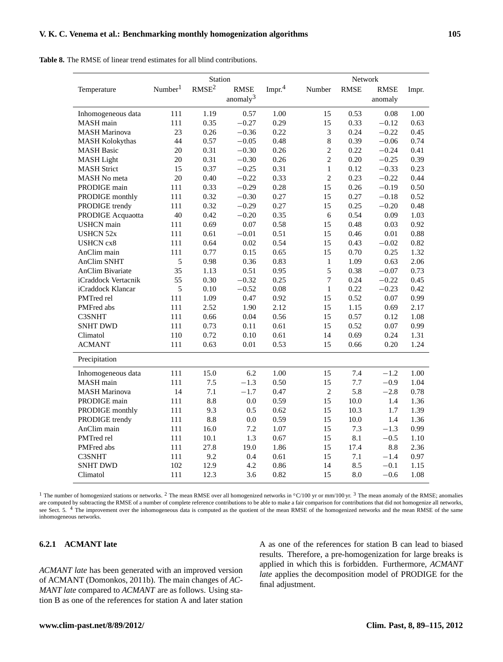|                         |                     | Station           |             |                   |                | Network     |             |       |
|-------------------------|---------------------|-------------------|-------------|-------------------|----------------|-------------|-------------|-------|
| Temperature             | Number <sup>1</sup> | RMSE <sup>2</sup> | <b>RMSE</b> | Impr <sup>4</sup> | Number         | <b>RMSE</b> | <b>RMSE</b> | Impr. |
|                         |                     |                   | anomaly $3$ |                   |                |             | anomaly     |       |
| Inhomogeneous data      | 111                 | 1.19              | 0.57        | 1.00              | 15             | 0.53        | 0.08        | 1.00  |
| <b>MASH</b> main        | 111                 | 0.35              | $-0.27$     | 0.29              | 15             | 0.33        | $-0.12$     | 0.63  |
| <b>MASH Marinova</b>    | 23                  | 0.26              | $-0.36$     | 0.22              | 3              | 0.24        | $-0.22$     | 0.45  |
| <b>MASH Kolokythas</b>  | 44                  | 0.57              | $-0.05$     | 0.48              | $\,8\,$        | 0.39        | $-0.06$     | 0.74  |
| <b>MASH Basic</b>       | 20                  | 0.31              | $-0.30$     | 0.26              | $\overline{2}$ | 0.22        | $-0.24$     | 0.41  |
| <b>MASH</b> Light       | 20                  | 0.31              | $-0.30$     | 0.26              | $\overline{c}$ | 0.20        | $-0.25$     | 0.39  |
| <b>MASH</b> Strict      | 15                  | 0.37              | $-0.25$     | 0.31              | $\,1$          | 0.12        | $-0.33$     | 0.23  |
| <b>MASH</b> No meta     | 20                  | 0.40              | $-0.22$     | 0.33              | $\overline{2}$ | 0.23        | $-0.22$     | 0.44  |
| PRODIGE main            | 111                 | 0.33              | $-0.29$     | 0.28              | 15             | 0.26        | $-0.19$     | 0.50  |
| <b>PRODIGE</b> monthly  | 111                 | 0.32              | $-0.30$     | 0.27              | 15             | 0.27        | $-0.18$     | 0.52  |
| PRODIGE trendy          | 111                 | 0.32              | $-0.29$     | 0.27              | 15             | 0.25        | $-0.20$     | 0.48  |
| PRODIGE Acquaotta       | 40                  | 0.42              | $-0.20$     | 0.35              | 6              | 0.54        | 0.09        | 1.03  |
| <b>USHCN</b> main       | 111                 | 0.69              | 0.07        | 0.58              | 15             | 0.48        | 0.03        | 0.92  |
| <b>USHCN 52x</b>        | 111                 | 0.61              | $-0.01$     | 0.51              | 15             | 0.46        | 0.01        | 0.88  |
| USHCN cx8               | 111                 | 0.64              | 0.02        | 0.54              | 15             | 0.43        | $-0.02$     | 0.82  |
| AnClim main             | 111                 | 0.77              | 0.15        | 0.65              | 15             | 0.70        | 0.25        | 1.32  |
| <b>AnClim SNHT</b>      | 5                   | 0.98              | 0.36        | 0.83              | $\mathbf{1}$   | 1.09        | 0.63        | 2.06  |
| <b>AnClim Bivariate</b> | 35                  | 1.13              | 0.51        | 0.95              | 5              | 0.38        | $-0.07$     | 0.73  |
| iCraddock Vertacnik     | 55                  | 0.30              | $-0.32$     | 0.25              | $\overline{7}$ | 0.24        | $-0.22$     | 0.45  |
| iCraddock Klancar       | 5                   | 0.10              | $-0.52$     | 0.08              | $\,1$          | 0.22        | $-0.23$     | 0.42  |
| PMTred rel              | 111                 | 1.09              | 0.47        | 0.92              | 15             | 0.52        | 0.07        | 0.99  |
| PMFred abs              | 111                 | 2.52              | 1.90        | 2.12              | 15             | 1.15        | 0.69        | 2.17  |
| <b>C3SNHT</b>           | 111                 | 0.66              | 0.04        | 0.56              | 15             | 0.57        | 0.12        | 1.08  |
| <b>SNHT DWD</b>         | 111                 | 0.73              | 0.11        | 0.61              | 15             | 0.52        | 0.07        | 0.99  |
| Climatol                | 110                 | 0.72              | 0.10        | 0.61              | 14             | 0.69        | 0.24        | 1.31  |
| <b>ACMANT</b>           | 111                 | 0.63              | 0.01        | 0.53              | 15             | 0.66        | 0.20        | 1.24  |
| Precipitation           |                     |                   |             |                   |                |             |             |       |
| Inhomogeneous data      | 111                 | 15.0              | 6.2         | 1.00              | 15             | 7.4         | $-1.2$      | 1.00  |
| <b>MASH</b> main        | 111                 | 7.5               | $-1.3$      | 0.50              | 15             | 7.7         | $-0.9$      | 1.04  |
| <b>MASH Marinova</b>    | 14                  | 7.1               | $-1.7$      | 0.47              | $\overline{c}$ | 5.8         | $-2.8$      | 0.78  |
| PRODIGE main            | 111                 | 8.8               | 0.0         | 0.59              | 15             | 10.0        | 1.4         | 1.36  |
| PRODIGE monthly         | 111                 | 9.3               | 0.5         | 0.62              | 15             | 10.3        | 1.7         | 1.39  |
| PRODIGE trendy          | 111                 | 8.8               | 0.0         | 0.59              | 15             | 10.0        | 1.4         | 1.36  |
| AnClim main             | 111                 | 16.0              | 7.2         | 1.07              | 15             | 7.3         | $-1.3$      | 0.99  |
| PMTred rel              | 111                 | 10.1              | 1.3         | 0.67              | 15             | 8.1         | $-0.5$      | 1.10  |
| PMFred abs              | 111                 | 27.8              | 19.0        | 1.86              | 15             | 17.4        | 8.8         | 2.36  |
| <b>C3SNHT</b>           | 111                 | 9.2               | 0.4         | 0.61              | 15             | 7.1         | $-1.4$      | 0.97  |
| <b>SNHT DWD</b>         | 102                 | 12.9              | 4.2         | 0.86              | 14             | 8.5         | $-0.1$      | 1.15  |
| Climatol                | 111                 | 12.3              | 3.6         | 0.82              | 15             | 8.0         | $-0.6$      | 1.08  |
|                         |                     |                   |             |                   |                |             |             |       |

<sup>1</sup> The number of homogenized stations or networks. <sup>2</sup> The mean RMSE over all homogenized networks in  $\degree$ C/100 yr or mm/100 yr. <sup>3</sup> The mean anomaly of the RMSE; anomalies are computed by subtracting the RMSE of a number of complete reference contributions to be able to make a fair comparison for contributions that did not homogenize all networks, see Sect. 5. <sup>4</sup> The improvement over the inhomogeneous data is computed as the quotient of the mean RMSE of the homogenized networks and the mean RMSE of the same inhomogeneous networks.

# **6.2.1 ACMANT late**

*ACMANT late* has been generated with an improved version of ACMANT (Domonkos, 2011b). The main changes of *AC-MANT late* compared to *ACMANT* are as follows. Using station B as one of the references for station A and later station

A as one of the references for station B can lead to biased results. Therefore, a pre-homogenization for large breaks is applied in which this is forbidden. Furthermore, *ACMANT late* applies the decomposition model of PRODIGE for the final adjustment.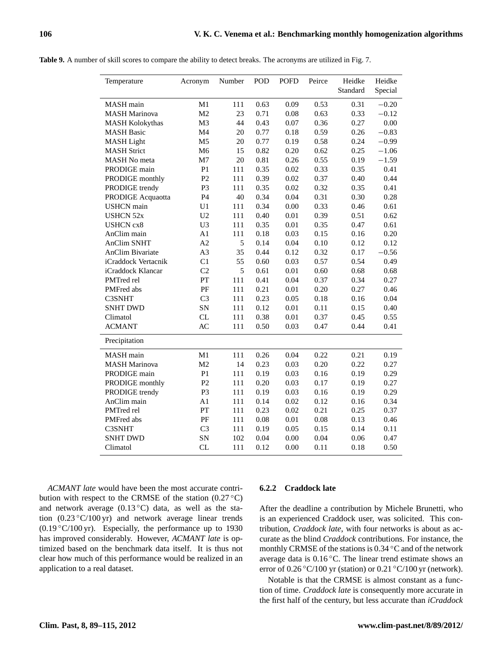|  | Table 9. A number of skill scores to compare the ability to detect breaks. The acronyms are utilized in Fig. 7. |  |
|--|-----------------------------------------------------------------------------------------------------------------|--|
|--|-----------------------------------------------------------------------------------------------------------------|--|

| Temperature             | Acronym        | Number | POD  | <b>POFD</b> | Peirce | Heidke   | Heidke  |
|-------------------------|----------------|--------|------|-------------|--------|----------|---------|
|                         |                |        |      |             |        | Standard | Special |
| MASH main               | M1             | 111    | 0.63 | 0.09        | 0.53   | 0.31     | $-0.20$ |
| <b>MASH Marinova</b>    | M <sub>2</sub> | 23     | 0.71 | 0.08        | 0.63   | 0.33     | $-0.12$ |
| <b>MASH Kolokythas</b>  | M <sub>3</sub> | 44     | 0.43 | 0.07        | 0.36   | 0.27     | 0.00    |
| <b>MASH Basic</b>       | M4             | 20     | 0.77 | 0.18        | 0.59   | 0.26     | $-0.83$ |
| <b>MASH</b> Light       | M5             | 20     | 0.77 | 0.19        | 0.58   | 0.24     | $-0.99$ |
| <b>MASH Strict</b>      | M6             | 15     | 0.82 | 0.20        | 0.62   | 0.25     | $-1.06$ |
| <b>MASH</b> No meta     | M7             | 20     | 0.81 | 0.26        | 0.55   | 0.19     | $-1.59$ |
| PRODIGE main            | P1             | 111    | 0.35 | 0.02        | 0.33   | 0.35     | 0.41    |
| PRODIGE monthly         | P <sub>2</sub> | 111    | 0.39 | 0.02        | 0.37   | 0.40     | 0.44    |
| PRODIGE trendy          | P <sub>3</sub> | 111    | 0.35 | 0.02        | 0.32   | 0.35     | 0.41    |
| PRODIGE Acquaotta       | P <sub>4</sub> | 40     | 0.34 | 0.04        | 0.31   | 0.30     | 0.28    |
| <b>USHCN</b> main       | U1             | 111    | 0.34 | 0.00        | 0.33   | 0.46     | 0.61    |
| <b>USHCN 52x</b>        | U <sub>2</sub> | 111    | 0.40 | 0.01        | 0.39   | 0.51     | 0.62    |
| <b>USHCN</b> cx8        | U <sub>3</sub> | 111    | 0.35 | 0.01        | 0.35   | 0.47     | 0.61    |
| AnClim main             | A1             | 111    | 0.18 | 0.03        | 0.15   | 0.16     | 0.20    |
| <b>AnClim SNHT</b>      | A2             | 5      | 0.14 | 0.04        | 0.10   | 0.12     | 0.12    |
| <b>AnClim Bivariate</b> | A <sub>3</sub> | 35     | 0.44 | 0.12        | 0.32   | 0.17     | $-0.56$ |
| iCraddock Vertacnik     | C <sub>1</sub> | 55     | 0.60 | 0.03        | 0.57   | 0.54     | 0.49    |
| iCraddock Klancar       | C <sub>2</sub> | 5      | 0.61 | $0.01\,$    | 0.60   | 0.68     | 0.68    |
| PMTred rel              | PT             | 111    | 0.41 | 0.04        | 0.37   | 0.34     | 0.27    |
| PMFred abs              | PF             | 111    | 0.21 | 0.01        | 0.20   | 0.27     | 0.46    |
| <b>C3SNHT</b>           | C <sub>3</sub> | 111    | 0.23 | 0.05        | 0.18   | 0.16     | 0.04    |
| <b>SNHT DWD</b>         | SN             | 111    | 0.12 | 0.01        | 0.11   | 0.15     | 0.40    |
| Climatol                | CL             | 111    | 0.38 | 0.01        | 0.37   | 0.45     | 0.55    |
| <b>ACMANT</b>           | AC             | 111    | 0.50 | 0.03        | 0.47   | 0.44     | 0.41    |
| Precipitation           |                |        |      |             |        |          |         |
| MASH main               | M1             | 111    | 0.26 | 0.04        | 0.22   | 0.21     | 0.19    |
| <b>MASH Marinova</b>    | M <sub>2</sub> | 14     | 0.23 | 0.03        | 0.20   | 0.22     | 0.27    |
| PRODIGE main            | P <sub>1</sub> | 111    | 0.19 | 0.03        | 0.16   | 0.19     | 0.29    |
| PRODIGE monthly         | P <sub>2</sub> | 111    | 0.20 | 0.03        | 0.17   | 0.19     | 0.27    |
| PRODIGE trendy          | P <sub>3</sub> | 111    | 0.19 | 0.03        | 0.16   | 0.19     | 0.29    |
| AnClim main             | A <sub>1</sub> | 111    | 0.14 | 0.02        | 0.12   | 0.16     | 0.34    |
| PMTred rel              | PT             | 111    | 0.23 | 0.02        | 0.21   | 0.25     | 0.37    |
| PMFred abs              | PF             | 111    | 0.08 | 0.01        | 0.08   | 0.13     | 0.46    |
| <b>C3SNHT</b>           | C <sub>3</sub> | 111    | 0.19 | 0.05        | 0.15   | 0.14     | 0.11    |
| <b>SNHT DWD</b>         | SN             | 102    | 0.04 | 0.00        | 0.04   | 0.06     | 0.47    |
| Climatol                | CL             | 111    | 0.12 | 0.00        | 0.11   | 0.18     | 0.50    |

*ACMANT late* would have been the most accurate contribution with respect to the CRMSE of the station  $(0.27 \degree C)$ and network average  $(0.13 \degree C)$  data, as well as the station  $(0.23 \degree C/100 \text{ yr})$  and network average linear trends  $(0.19 \degree C/100 \text{ yr})$ . Especially, the performance up to 1930 has improved considerably. However, *ACMANT late* is optimized based on the benchmark data itself. It is thus not clear how much of this performance would be realized in an application to a real dataset.

# **6.2.2 Craddock late**

After the deadline a contribution by Michele Brunetti, who is an experienced Craddock user, was solicited. This contribution, *Craddock late*, with four networks is about as accurate as the blind *Craddock* contributions. For instance, the monthly CRMSE of the stations is 0.34 ◦C and of the network average data is 0.16 ◦C. The linear trend estimate shows an error of  $0.26 \degree C/100$  yr (station) or  $0.21 \degree C/100$  yr (network).

Notable is that the CRMSE is almost constant as a function of time. *Craddock late* is consequently more accurate in the first half of the century, but less accurate than *iCraddock*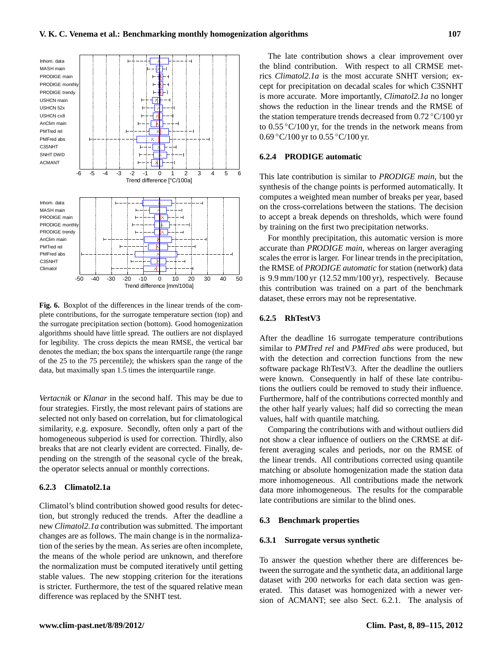

Fig. 6. Boxplot of the differences in the linear trends of the comthe surrogate precipitation section (bottom). Good homogenization  $\overline{\mathbf{b}}$ algorithms should have little spread. The outliers are not displayed for legibility. The cross depicts the mean RMSE, the vertical bar  $\frac{A}{A}$ denotes the median; the box spans the interquartile range (the range  $\sim$ <sup>51</sup> of the 25 to the 75 percentile); the whiskers span the range of the plete contributions, for the surrogate temperature section (top) and data, but maximally span 1.5 times the interquartile range.

*Vertacnik* or *Klanar* in the second half. This may be due to four strategies. Firstly, the most relevant pairs of stations are selected not only based on correlation, but for climatological similarity, e.g. exposure. Secondly, often only a part of the homogeneous subperiod is used for correction. Thirdly, also breaks that are not clearly evident are corrected. Finally, depending on the strength of the seasonal cycle of the break, the operator selects annual or monthly corrections.

## **6.2.3 Climatol2.1a**

Climatol's blind contribution showed good results for detection, but strongly reduced the trends. After the deadline a new *Climatol2.1a* contribution was submitted. The important changes are as follows. The main change is in the normalization of the series by the mean. As series are often incomplete, the means of the whole period are unknown, and therefore the normalization must be computed iteratively until getting stable values. The new stopping criterion for the iterations is stricter. Furthermore, the test of the squared relative mean difference was replaced by the SNHT test.

The late contribution shows a clear improvement over the blind contribution. With respect to all CRMSE metrics *Climatol2.1a* is the most accurate SNHT version; except for precipitation on decadal scales for which C3SNHT is more accurate. More importantly, *Climatol2.1a* no longer shows the reduction in the linear trends and the RMSE of the station temperature trends decreased from 0.72 ◦C/100 yr to  $0.55 \degree C/100$  yr, for the trends in the network means from 0.69 °C/100 yr to 0.55 °C/100 yr.

## **6.2.4 PRODIGE automatic**

This late contribution is similar to *PRODIGE main*, but the synthesis of the change points is performed automatically. It computes a weighted mean number of breaks per year, based on the cross-correlations between the stations. The decision to accept a break depends on thresholds, which were found by training on the first two precipitation networks.

For monthly precipitation, this automatic version is more accurate than *PRODIGE main*, whereas on larger averaging scales the error is larger. For linear trends in the precipitation, the RMSE of *PRODIGE automatic* for station (network) data is 9.9 mm/100 yr (12.52 mm/100 yr), respectively. Because this contribution was trained on a part of the benchmark dataset, these errors may not be representative.

# **6.2.5 RhTestV3**

Furthermore, half of the contributions corrected monthly and After the deadline 16 surrogate temperature contributions similar to *PMTred rel* and *PMFred abs* were produced, but with the detection and correction functions from the new software package RhTestV3. After the deadline the outliers were known. Consequently in half of these late contributions the outliers could be removed to study their influence. the other half yearly values; half did so correcting the mean values, half with quantile matching.

Comparing the contributions with and without outliers did not show a clear influence of outliers on the CRMSE at different averaging scales and periods, nor on the RMSE of the linear trends. All contributions corrected using quantile matching or absolute homogenization made the station data more inhomogeneous. All contributions made the network data more inhomogeneous. The results for the comparable late contributions are similar to the blind ones.

#### **6.3 Benchmark properties**

## **6.3.1 Surrogate versus synthetic**

To answer the question whether there are differences between the surrogate and the synthetic data, an additional large dataset with 200 networks for each data section was generated. This dataset was homogenized with a newer version of ACMANT; see also Sect. 6.2.1. The analysis of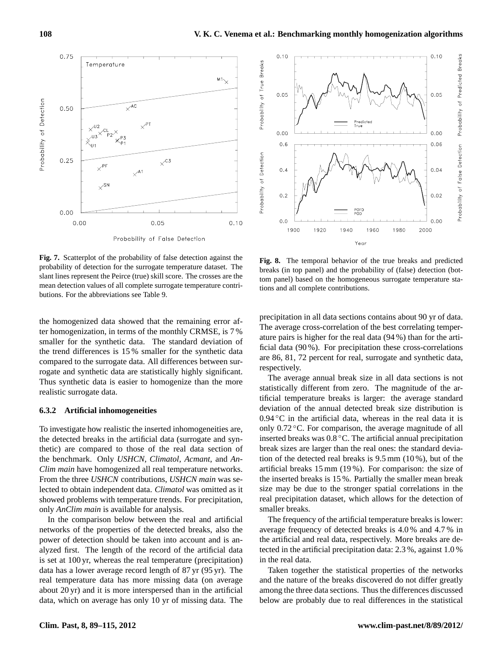

**Fig. 7.** Scatterplot of the probability of false detection against the probability of detection for the surrogate temperature dataset. The slant lines represent the Peirce (true) skill score. The crosses are the mean detection values of all complete surrogate temperature contributions. For the abbreviations see Table 9.

the homogenized data showed that the remaining error after homogenization, in terms of the monthly CRMSE, is 7 % smaller for the synthetic data. The standard deviation of the trend differences is 15 % smaller for the synthetic data compared to the surrogate data. All differences between surrogate and synthetic data are statistically highly significant. Thus synthetic data is easier to homogenize than the more realistic surrogate data.

## **6.3.2 Artificial inhomogeneities**

To investigate how realistic the inserted inhomogeneities are, the detected breaks in the artificial data (surrogate and synthetic) are compared to those of the real data section of the benchmark. Only *USHCN*, *Climatol*, *Acmant*, and *An-Clim main* have homogenized all real temperature networks. From the three *USHCN* contributions, *USHCN main* was selected to obtain independent data. *Climatol* was omitted as it showed problems with temperature trends. For precipitation, only *AnClim main* is available for analysis.

In the comparison below between the real and artificial networks of the properties of the detected breaks, also the power of detection should be taken into account and is analyzed first. The length of the record of the artificial data is set at 100 yr, whereas the real temperature (precipitation) data has a lower average record length of 87 yr (95 yr). The real temperature data has more missing data (on average about 20 yr) and it is more interspersed than in the artificial data, which on average has only 10 yr of missing data. The



**Fig. 8.** The temporal behavior of the true breaks and predicted breaks (in top panel) and the probability of (false) detection (bottom panel) based on the homogeneous surrogate temperature stations and all complete contributions.

precipitation in all data sections contains about 90 yr of data. The average cross-correlation of the best correlating temperature pairs is higher for the real data (94 %) than for the artificial data (90 %). For precipitation these cross-correlations are 86, 81, 72 percent for real, surrogate and synthetic data, respectively.

The average annual break size in all data sections is not statistically different from zero. The magnitude of the artificial temperature breaks is larger: the average standard deviation of the annual detected break size distribution is  $0.94\degree$ C in the artificial data, whereas in the real data it is only 0.72 ◦C. For comparison, the average magnitude of all inserted breaks was 0.8 ◦C. The artificial annual precipitation break sizes are larger than the real ones: the standard deviation of the detected real breaks is 9.5 mm (10 %), but of the artificial breaks 15 mm (19 %). For comparison: the size of the inserted breaks is 15 %. Partially the smaller mean break size may be due to the stronger spatial correlations in the real precipitation dataset, which allows for the detection of smaller breaks.

The frequency of the artificial temperature breaks is lower: average frequency of detected breaks is 4.0 % and 4.7 % in the artificial and real data, respectively. More breaks are detected in the artificial precipitation data: 2.3 %, against 1.0 % in the real data.

Taken together the statistical properties of the networks and the nature of the breaks discovered do not differ greatly among the three data sections. Thus the differences discussed below are probably due to real differences in the statistical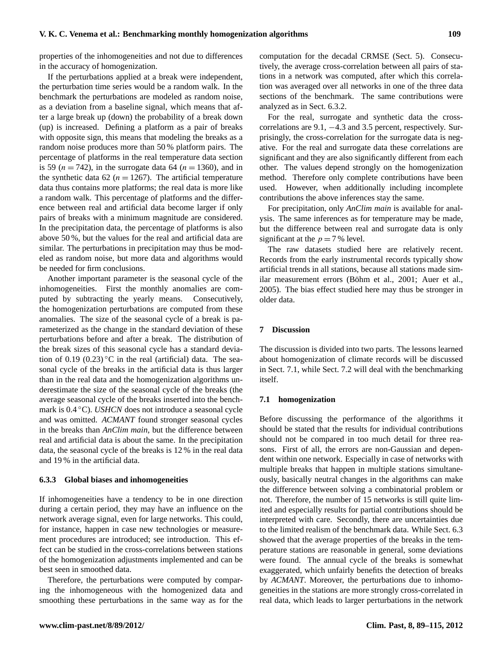properties of the inhomogeneities and not due to differences in the accuracy of homogenization.

If the perturbations applied at a break were independent, the perturbation time series would be a random walk. In the benchmark the perturbations are modeled as random noise, as a deviation from a baseline signal, which means that after a large break up (down) the probability of a break down (up) is increased. Defining a platform as a pair of breaks with opposite sign, this means that modeling the breaks as a random noise produces more than 50 % platform pairs. The percentage of platforms in the real temperature data section is 59 ( $n = 742$ ), in the surrogate data 64 ( $n = 1360$ ), and in the synthetic data 62 ( $n = 1267$ ). The artificial temperature data thus contains more platforms; the real data is more like a random walk. This percentage of platforms and the difference between real and artificial data become larger if only pairs of breaks with a minimum magnitude are considered. In the precipitation data, the percentage of platforms is also above 50 %, but the values for the real and artificial data are similar. The perturbations in precipitation may thus be modeled as random noise, but more data and algorithms would be needed for firm conclusions.

Another important parameter is the seasonal cycle of the inhomogeneities. First the monthly anomalies are computed by subtracting the yearly means. Consecutively, the homogenization perturbations are computed from these anomalies. The size of the seasonal cycle of a break is parameterized as the change in the standard deviation of these perturbations before and after a break. The distribution of the break sizes of this seasonal cycle has a standard deviation of 0.19 (0.23)  $\degree$ C in the real (artificial) data. The seasonal cycle of the breaks in the artificial data is thus larger than in the real data and the homogenization algorithms underestimate the size of the seasonal cycle of the breaks (the average seasonal cycle of the breaks inserted into the benchmark is 0.4 ◦C). *USHCN* does not introduce a seasonal cycle and was omitted. *ACMANT* found stronger seasonal cycles in the breaks than *AnClim main*, but the difference between real and artificial data is about the same. In the precipitation data, the seasonal cycle of the breaks is 12 % in the real data and 19 % in the artificial data.

## **6.3.3 Global biases and inhomogeneities**

If inhomogeneities have a tendency to be in one direction during a certain period, they may have an influence on the network average signal, even for large networks. This could, for instance, happen in case new technologies or measurement procedures are introduced; see introduction. This effect can be studied in the cross-correlations between stations of the homogenization adjustments implemented and can be best seen in smoothed data.

Therefore, the perturbations were computed by comparing the inhomogeneous with the homogenized data and smoothing these perturbations in the same way as for the computation for the decadal CRMSE (Sect. 5). Consecutively, the average cross-correlation between all pairs of stations in a network was computed, after which this correlation was averaged over all networks in one of the three data sections of the benchmark. The same contributions were analyzed as in Sect. 6.3.2.

For the real, surrogate and synthetic data the crosscorrelations are  $9.1, -4.3$  and  $3.5$  percent, respectively. Surprisingly, the cross-correlation for the surrogate data is negative. For the real and surrogate data these correlations are significant and they are also significantly different from each other. The values depend strongly on the homogenization method. Therefore only complete contributions have been used. However, when additionally including incomplete contributions the above inferences stay the same.

For precipitation, only *AnClim main* is available for analysis. The same inferences as for temperature may be made, but the difference between real and surrogate data is only significant at the  $p = 7\%$  level.

The raw datasets studied here are relatively recent. Records from the early instrumental records typically show artificial trends in all stations, because all stations made similar measurement errors (Böhm et al., 2001; Auer et al., 2005). The bias effect studied here may thus be stronger in older data.

# **7 Discussion**

The discussion is divided into two parts. The lessons learned about homogenization of climate records will be discussed in Sect. 7.1, while Sect. 7.2 will deal with the benchmarking itself.

# **7.1 homogenization**

Before discussing the performance of the algorithms it should be stated that the results for individual contributions should not be compared in too much detail for three reasons. First of all, the errors are non-Gaussian and dependent within one network. Especially in case of networks with multiple breaks that happen in multiple stations simultaneously, basically neutral changes in the algorithms can make the difference between solving a combinatorial problem or not. Therefore, the number of 15 networks is still quite limited and especially results for partial contributions should be interpreted with care. Secondly, there are uncertainties due to the limited realism of the benchmark data. While Sect. 6.3 showed that the average properties of the breaks in the temperature stations are reasonable in general, some deviations were found. The annual cycle of the breaks is somewhat exaggerated, which unfairly benefits the detection of breaks by *ACMANT*. Moreover, the perturbations due to inhomogeneities in the stations are more strongly cross-correlated in real data, which leads to larger perturbations in the network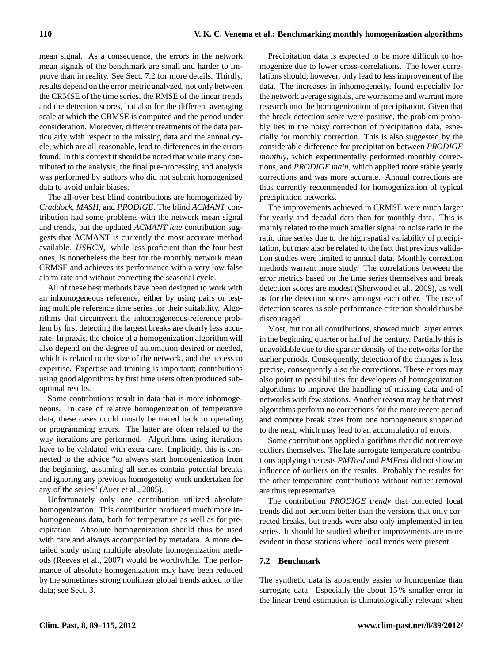mean signal. As a consequence, the errors in the network mean signals of the benchmark are small and harder to improve than in reality. See Sect. 7.2 for more details. Thirdly, results depend on the error metric analyzed, not only between the CRMSE of the time series, the RMSE of the linear trends and the detection scores, but also for the different averaging scale at which the CRMSE is computed and the period under consideration. Moreover, different treatments of the data particularly with respect to the missing data and the annual cycle, which are all reasonable, lead to differences in the errors found. In this context it should be noted that while many contributed to the analysis, the final pre-processing and analysis was performed by authors who did not submit homogenized data to avoid unfair biases.

The all-over best blind contributions are homogenized by *Craddock*, *MASH*, and *PRODIGE*. The blind *ACMANT* contribution had some problems with the network mean signal and trends, but the updated *ACMANT late* contribution suggests that ACMANT is currently the most accurate method available. *USHCN,* while less proficient than the four best ones, is nonetheless the best for the monthly network mean CRMSE and achieves its performance with a very low false alarm rate and without correcting the seasonal cycle.

All of these best methods have been designed to work with an inhomogeneous reference, either by using pairs or testing multiple reference time series for their suitability. Algorithms that circumvent the inhomogeneous-reference problem by first detecting the largest breaks are clearly less accurate. In praxis, the choice of a homogenization algorithm will also depend on the degree of automation desired or needed, which is related to the size of the network, and the access to expertise. Expertise and training is important; contributions using good algorithms by first time users often produced suboptimal results.

Some contributions result in data that is more inhomogeneous. In case of relative homogenization of temperature data, these cases could mostly be traced back to operating or programming errors. The latter are often related to the way iterations are performed. Algorithms using iterations have to be validated with extra care. Implicitly, this is connected to the advice "to always start homogenization from the beginning, assuming all series contain potential breaks and ignoring any previous homogeneity work undertaken for any of the series" (Auer et al., 2005).

Unfortunately only one contribution utilized absolute homogenization. This contribution produced much more inhomogeneous data, both for temperature as well as for precipitation. Absolute homogenization should thus be used with care and always accompanied by metadata. A more detailed study using multiple absolute homogenization methods (Reeves et al., 2007) would be worthwhile. The performance of absolute homogenization may have been reduced by the sometimes strong nonlinear global trends added to the data; see Sect. 3.

Precipitation data is expected to be more difficult to homogenize due to lower cross-correlations. The lower correlations should, however, only lead to less improvement of the data. The increases in inhomogeneity, found especially for the network average signals, are worrisome and warrant more research into the homogenization of precipitation. Given that the break detection score were positive, the problem probably lies in the noisy correction of precipitation data, especially for monthly correction. This is also suggested by the considerable difference for precipitation between *PRODIGE monthly*, which experimentally performed monthly corrections, and *PRODIGE main*, which applied more stable yearly corrections and was more accurate. Annual corrections are thus currently recommended for homogenization of typical precipitation networks.

The improvements achieved in CRMSE were much larger for yearly and decadal data than for monthly data. This is mainly related to the much smaller signal to noise ratio in the ratio time series due to the high spatial variability of precipitation, but may also be related to the fact that previous validation studies were limited to annual data. Monthly correction methods warrant more study. The correlations between the error metrics based on the time series themselves and break detection scores are modest (Sherwood et al., 2009), as well as for the detection scores amongst each other. The use of detection scores as sole performance criterion should thus be discouraged.

Most, but not all contributions, showed much larger errors in the beginning quarter or half of the century. Partially this is unavoidable due to the sparser density of the networks for the earlier periods. Consequently, detection of the changes is less precise, consequently also the corrections. These errors may also point to possibilities for developers of homogenization algorithms to improve the handling of missing data and of networks with few stations. Another reason may be that most algorithms perform no corrections for the more recent period and compute break sizes from one homogeneous subperiod to the next, which may lead to an accumulation of errors.

Some contributions applied algorithms that did not remove outliers themselves. The late surrogate temperature contributions applying the tests *PMTred* and *PMFred* did not show an influence of outliers on the results. Probably the results for the other temperature contributions without outlier removal are thus representative.

The contribution *PRODIGE trendy* that corrected local trends did not perform better than the versions that only corrected breaks, but trends were also only implemented in ten series. It should be studied whether improvements are more evident in those stations where local trends were present.

# **7.2 Benchmark**

The synthetic data is apparently easier to homogenize than surrogate data. Especially the about 15 % smaller error in the linear trend estimation is climatologically relevant when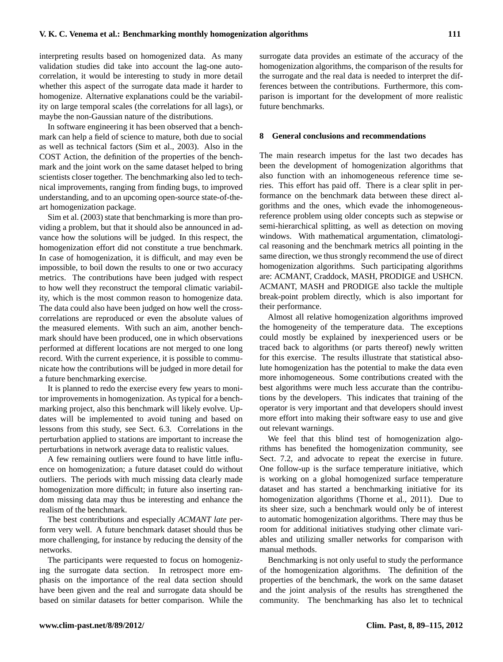interpreting results based on homogenized data. As many validation studies did take into account the lag-one autocorrelation, it would be interesting to study in more detail whether this aspect of the surrogate data made it harder to homogenize. Alternative explanations could be the variability on large temporal scales (the correlations for all lags), or maybe the non-Gaussian nature of the distributions.

In software engineering it has been observed that a benchmark can help a field of science to mature, both due to social as well as technical factors (Sim et al., 2003). Also in the COST Action, the definition of the properties of the benchmark and the joint work on the same dataset helped to bring scientists closer together. The benchmarking also led to technical improvements, ranging from finding bugs, to improved understanding, and to an upcoming open-source state-of-theart homogenization package.

Sim et al. (2003) state that benchmarking is more than providing a problem, but that it should also be announced in advance how the solutions will be judged. In this respect, the homogenization effort did not constitute a true benchmark. In case of homogenization, it is difficult, and may even be impossible, to boil down the results to one or two accuracy metrics. The contributions have been judged with respect to how well they reconstruct the temporal climatic variability, which is the most common reason to homogenize data. The data could also have been judged on how well the crosscorrelations are reproduced or even the absolute values of the measured elements. With such an aim, another benchmark should have been produced, one in which observations performed at different locations are not merged to one long record. With the current experience, it is possible to communicate how the contributions will be judged in more detail for a future benchmarking exercise.

It is planned to redo the exercise every few years to monitor improvements in homogenization. As typical for a benchmarking project, also this benchmark will likely evolve. Updates will be implemented to avoid tuning and based on lessons from this study, see Sect. 6.3. Correlations in the perturbation applied to stations are important to increase the perturbations in network average data to realistic values.

A few remaining outliers were found to have little influence on homogenization; a future dataset could do without outliers. The periods with much missing data clearly made homogenization more difficult; in future also inserting random missing data may thus be interesting and enhance the realism of the benchmark.

The best contributions and especially *ACMANT late* perform very well. A future benchmark dataset should thus be more challenging, for instance by reducing the density of the networks.

The participants were requested to focus on homogenizing the surrogate data section. In retrospect more emphasis on the importance of the real data section should have been given and the real and surrogate data should be based on similar datasets for better comparison. While the

surrogate data provides an estimate of the accuracy of the homogenization algorithms, the comparison of the results for the surrogate and the real data is needed to interpret the differences between the contributions. Furthermore, this comparison is important for the development of more realistic future benchmarks.

## **8 General conclusions and recommendations**

The main research impetus for the last two decades has been the development of homogenization algorithms that also function with an inhomogeneous reference time series. This effort has paid off. There is a clear split in performance on the benchmark data between these direct algorithms and the ones, which evade the inhomogeneousreference problem using older concepts such as stepwise or semi-hierarchical splitting, as well as detection on moving windows. With mathematical argumentation, climatological reasoning and the benchmark metrics all pointing in the same direction, we thus strongly recommend the use of direct homogenization algorithms. Such participating algorithms are: ACMANT, Craddock, MASH, PRODIGE and USHCN. ACMANT, MASH and PRODIGE also tackle the multiple break-point problem directly, which is also important for their performance.

Almost all relative homogenization algorithms improved the homogeneity of the temperature data. The exceptions could mostly be explained by inexperienced users or be traced back to algorithms (or parts thereof) newly written for this exercise. The results illustrate that statistical absolute homogenization has the potential to make the data even more inhomogeneous. Some contributions created with the best algorithms were much less accurate than the contributions by the developers. This indicates that training of the operator is very important and that developers should invest more effort into making their software easy to use and give out relevant warnings.

We feel that this blind test of homogenization algorithms has benefited the homogenization community, see Sect. 7.2, and advocate to repeat the exercise in future. One follow-up is the surface temperature initiative, which is working on a global homogenized surface temperature dataset and has started a benchmarking initiative for its homogenization algorithms (Thorne et al., 2011). Due to its sheer size, such a benchmark would only be of interest to automatic homogenization algorithms. There may thus be room for additional initiatives studying other climate variables and utilizing smaller networks for comparison with manual methods.

Benchmarking is not only useful to study the performance of the homogenization algorithms. The definition of the properties of the benchmark, the work on the same dataset and the joint analysis of the results has strengthened the community. The benchmarking has also let to technical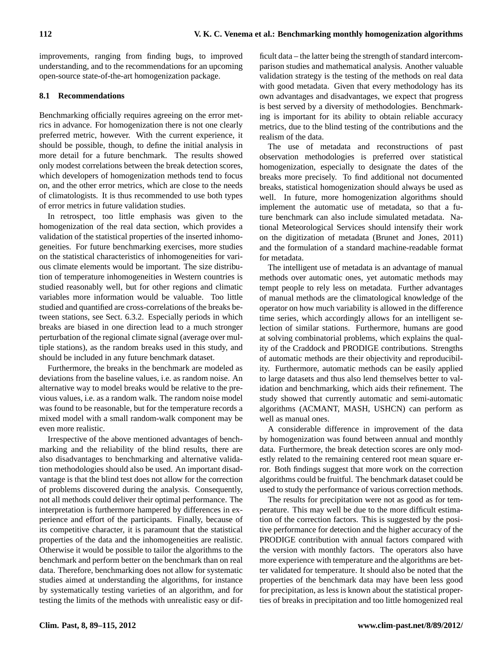improvements, ranging from finding bugs, to improved understanding, and to the recommendations for an upcoming open-source state-of-the-art homogenization package.

# **8.1 Recommendations**

Benchmarking officially requires agreeing on the error metrics in advance. For homogenization there is not one clearly preferred metric, however. With the current experience, it should be possible, though, to define the initial analysis in more detail for a future benchmark. The results showed only modest correlations between the break detection scores, which developers of homogenization methods tend to focus on, and the other error metrics, which are close to the needs of climatologists. It is thus recommended to use both types of error metrics in future validation studies.

In retrospect, too little emphasis was given to the homogenization of the real data section, which provides a validation of the statistical properties of the inserted inhomogeneities. For future benchmarking exercises, more studies on the statistical characteristics of inhomogeneities for various climate elements would be important. The size distribution of temperature inhomogeneities in Western countries is studied reasonably well, but for other regions and climatic variables more information would be valuable. Too little studied and quantified are cross-correlations of the breaks between stations, see Sect. 6.3.2. Especially periods in which breaks are biased in one direction lead to a much stronger perturbation of the regional climate signal (average over multiple stations), as the random breaks used in this study, and should be included in any future benchmark dataset.

Furthermore, the breaks in the benchmark are modeled as deviations from the baseline values, i.e. as random noise. An alternative way to model breaks would be relative to the previous values, i.e. as a random walk. The random noise model was found to be reasonable, but for the temperature records a mixed model with a small random-walk component may be even more realistic.

Irrespective of the above mentioned advantages of benchmarking and the reliability of the blind results, there are also disadvantages to benchmarking and alternative validation methodologies should also be used. An important disadvantage is that the blind test does not allow for the correction of problems discovered during the analysis. Consequently, not all methods could deliver their optimal performance. The interpretation is furthermore hampered by differences in experience and effort of the participants. Finally, because of its competitive character, it is paramount that the statistical properties of the data and the inhomogeneities are realistic. Otherwise it would be possible to tailor the algorithms to the benchmark and perform better on the benchmark than on real data. Therefore, benchmarking does not allow for systematic studies aimed at understanding the algorithms, for instance by systematically testing varieties of an algorithm, and for testing the limits of the methods with unrealistic easy or dif-

ficult data – the latter being the strength of standard intercomparison studies and mathematical analysis. Another valuable validation strategy is the testing of the methods on real data with good metadata. Given that every methodology has its own advantages and disadvantages, we expect that progress is best served by a diversity of methodologies. Benchmarking is important for its ability to obtain reliable accuracy metrics, due to the blind testing of the contributions and the realism of the data.

The use of metadata and reconstructions of past observation methodologies is preferred over statistical homogenization, especially to designate the dates of the breaks more precisely. To find additional not documented breaks, statistical homogenization should always be used as well. In future, more homogenization algorithms should implement the automatic use of metadata, so that a future benchmark can also include simulated metadata. National Meteorological Services should intensify their work on the digitization of metadata (Brunet and Jones, 2011) and the formulation of a standard machine-readable format for metadata.

The intelligent use of metadata is an advantage of manual methods over automatic ones, yet automatic methods may tempt people to rely less on metadata. Further advantages of manual methods are the climatological knowledge of the operator on how much variability is allowed in the difference time series, which accordingly allows for an intelligent selection of similar stations. Furthermore, humans are good at solving combinatorial problems, which explains the quality of the Craddock and PRODIGE contributions. Strengths of automatic methods are their objectivity and reproducibility. Furthermore, automatic methods can be easily applied to large datasets and thus also lend themselves better to validation and benchmarking, which aids their refinement. The study showed that currently automatic and semi-automatic algorithms (ACMANT, MASH, USHCN) can perform as well as manual ones.

A considerable difference in improvement of the data by homogenization was found between annual and monthly data. Furthermore, the break detection scores are only modestly related to the remaining centered root mean square error. Both findings suggest that more work on the correction algorithms could be fruitful. The benchmark dataset could be used to study the performance of various correction methods.

The results for precipitation were not as good as for temperature. This may well be due to the more difficult estimation of the correction factors. This is suggested by the positive performance for detection and the higher accuracy of the PRODIGE contribution with annual factors compared with the version with monthly factors. The operators also have more experience with temperature and the algorithms are better validated for temperature. It should also be noted that the properties of the benchmark data may have been less good for precipitation, as less is known about the statistical properties of breaks in precipitation and too little homogenized real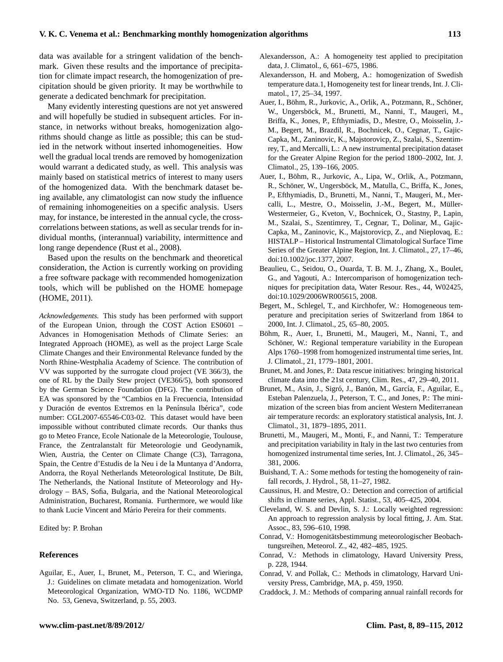data was available for a stringent validation of the benchmark. Given these results and the importance of precipitation for climate impact research, the homogenization of precipitation should be given priority. It may be worthwhile to generate a dedicated benchmark for precipitation.

Many evidently interesting questions are not yet answered and will hopefully be studied in subsequent articles. For instance, in networks without breaks, homogenization algorithms should change as little as possible; this can be studied in the network without inserted inhomogeneities. How well the gradual local trends are removed by homogenization would warrant a dedicated study, as well. This analysis was mainly based on statistical metrics of interest to many users of the homogenized data. With the benchmark dataset being available, any climatologist can now study the influence of remaining inhomogeneities on a specific analysis. Users may, for instance, be interested in the annual cycle, the crosscorrelations between stations, as well as secular trends for individual months, (interannual) variability, intermittence and long range dependence (Rust et al., 2008).

Based upon the results on the benchmark and theoretical consideration, the Action is currently working on providing a free software package with recommended homogenization tools, which will be published on the HOME homepage (HOME, 2011).

*Acknowledgements.* This study has been performed with support of the European Union, through the COST Action ES0601 – Advances in Homogenisation Methods of Climate Series: an Integrated Approach (HOME), as well as the project Large Scale Climate Changes and their Environmental Relevance funded by the North Rhine-Westphalia Academy of Science. The contribution of VV was supported by the surrogate cloud project (VE 366/3), the one of RL by the Daily Stew project (VE366/5), both sponsored by the German Science Foundation (DFG). The contribution of EA was sponsored by the "Cambios en la Frecuencia, Intensidad y Duración de eventos Extremos en la Península Ibérica", code number: CGL2007-65546-C03-02. This dataset would have been impossible without contributed climate records. Our thanks thus go to Meteo France, Ecole Nationale de la Meteorologie, Toulouse, France, the Zentralanstalt für Meteorologie und Geodynamik, Wien, Austria, the Center on Climate Change (C3), Tarragona, Spain, the Centre d'Estudis de la Neu i de la Muntanya d'Andorra, Andorra, the Royal Netherlands Meteorological Institute, De Bilt, The Netherlands, the National Institute of Meteorology and Hydrology – BAS, Sofia, Bulgaria, and the National Meteorological Administration, Bucharest, Romania. Furthermore, we would like to thank Lucie Vincent and Mário Pereira for their comments.

Edited by: P. Brohan

#### **References**

Aguilar, E., Auer, I., Brunet, M., Peterson, T. C., and Wieringa, J.: Guidelines on climate metadata and homogenization. World Meteorological Organization, WMO-TD No. 1186, WCDMP No. 53, Geneva, Switzerland, p. 55, 2003.

- Alexandersson, A.: A homogeneity test applied to precipitation data, J. Climatol., 6, 661–675, 1986.
- Alexandersson, H. and Moberg, A.: homogenization of Swedish temperature data.1, Homogeneity test for linear trends, Int. J. Climatol., 17, 25–34, 1997.
- Auer, I., Böhm, R., Jurkovic, A., Orlik, A., Potzmann, R., Schöner, W., Ungersböck, M., Brunetti, M., Nanni, T., Maugeri, M., Briffa, K., Jones, P., Efthymiadis, D., Mestre, O., Moisselin, J.- M., Begert, M., Brazdil, R., Bochnicek, O., Cegnar, T., Gajic-Capka, M., Zaninovic, K., Majstorovicp, Z., Szalai, S., Szentimrey, T., and Mercalli, L.: A new instrumental precipitation dataset for the Greater Alpine Region for the period 1800–2002, Int. J. Climatol., 25, 139–166, 2005.
- Auer, I., Böhm, R., Jurkovic, A., Lipa, W., Orlik, A., Potzmann, R., Schöner, W., Ungersböck, M., Matulla, C., Briffa, K., Jones, P., Efthymiadis, D., Brunetti, M., Nanni, T., Maugeri, M., Mercalli, L., Mestre, O., Moisselin, J.-M., Begert, M., Müller-Westermeier, G., Kveton, V., Bochnicek, O., Stastny, P., Lapin, M., Szalai, S., Szentimrey, T., Cegnar, T., Dolinar, M., Gajic-Capka, M., Zaninovic, K., Majstorovicp, Z., and Nieplovaq, E.: HISTALP – Historical Instrumental Climatological Surface Time Series of the Greater Alpine Region, Int. J. Climatol., 27, 17–46, [doi:10.1002/joc.1377,](http://dx.doi.org/10.1002/joc.1377) 2007.
- Beaulieu, C., Seidou, O., Ouarda, T. B. M. J., Zhang, X., Boulet, G., and Yagouti, A.: Intercomparison of homogenization techniques for precipitation data, Water Resour. Res., 44, W02425, [doi:10.1029/2006WR005615,](http://dx.doi.org/10.1029/2006WR005615) 2008.
- Begert, M., Schlegel, T., and Kirchhofer, W.: Homogeneous temperature and precipitation series of Switzerland from 1864 to 2000, Int. J. Climatol., 25, 65–80, 2005.
- Böhm, R., Auer, I., Brunetti, M., Maugeri, M., Nanni, T., and Schöner, W.: Regional temperature variability in the European Alps 1760–1998 from homogenized instrumental time series, Int. J. Climatol., 21, 1779–1801, 2001.
- Brunet, M. and Jones, P.: Data rescue initiatives: bringing historical climate data into the 21st century, Clim. Res., 47, 29–40, 2011.
- Brunet, M., Asin, J., Sigró, J., Banón, M., García, F., Aguilar, E., Esteban Palenzuela, J., Peterson, T. C., and Jones, P.: The minimization of the screen bias from ancient Western Mediterranean air temperature records: an exploratory statistical analysis, Int. J. Climatol., 31, 1879–1895, 2011.
- Brunetti, M., Maugeri, M., Monti, F., and Nanni, T.: Temperature and precipitation variability in Italy in the last two centuries from homogenized instrumental time series, Int. J. Climatol., 26, 345– 381, 2006.
- Buishand, T. A.: Some methods for testing the homogeneity of rainfall records, J. Hydrol., 58, 11–27, 1982.
- Caussinus, H. and Mestre, O.: Detection and correction of artificial shifts in climate series, Appl. Statist., 53, 405–425, 2004.
- Cleveland, W. S. and Devlin, S. J.: Locally weighted regression: An approach to regression analysis by local fitting, J. Am. Stat. Assoc., 83, 596–610, 1998.
- Conrad, V.: Homogenitätsbestimmung meteorologischer Beobachtungsreihen, Meteorol. Z., 42, 482–485, 1925.
- Conrad, V.: Methods in climatology, Havard University Press, p. 228, 1944.
- Conrad, V. and Pollak, C.: Methods in climatology, Harvard University Press, Cambridge, MA, p. 459, 1950.
- Craddock, J. M.: Methods of comparing annual rainfall records for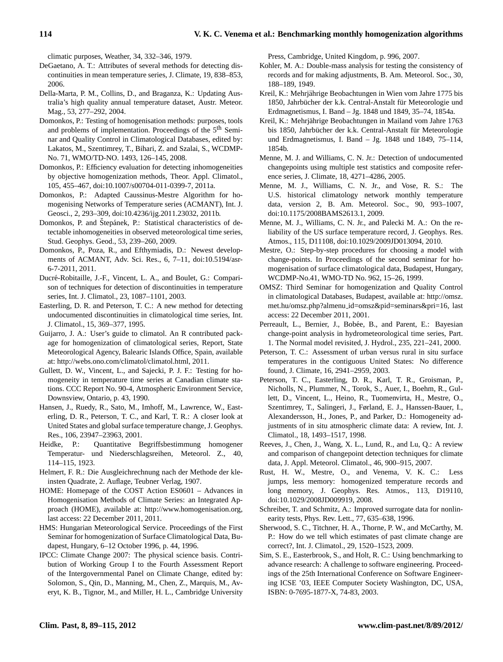climatic purposes, Weather, 34, 332–346, 1979.

- DeGaetano, A. T.: Attributes of several methods for detecting discontinuities in mean temperature series, J. Climate, 19, 838–853, 2006.
- Della-Marta, P. M., Collins, D., and Braganza, K.: Updating Australia's high quality annual temperature dataset, Austr. Meteor. Mag., 53, 277–292, 2004.
- Domonkos, P.: Testing of homogenisation methods: purposes, tools and problems of implementation. Proceedings of the  $5<sup>th</sup>$  Seminar and Quality Control in Climatological Databases, edited by: Lakatos, M., Szentimrey, T., Bihari, Z. and Szalai, S., WCDMP-No. 71, WMO/TD-NO. 1493, 126–145, 2008.
- Domonkos, P.: Efficiency evaluation for detecting inhomogeneities by objective homogenization methods, Theor. Appl. Climatol., 105, 455–467, [doi:10.1007/s00704-011-0399-7,](http://dx.doi.org/10.1007/s00704-011-0399-7) 2011a.
- Domonkos, P.: Adapted Caussinus-Mestre Algorithm for homogenising Networks of Temperature series (ACMANT), Int. J. Geosci., 2, 293–309, [doi:10.4236/ijg.2011.23032,](http://dx.doi.org/10.4236/ijg.2011.23032) 2011b.
- Domonkos, P. and Štepánek, P.: Statistical characteristics of detectable inhomogeneities in observed meteorological time series, Stud. Geophys. Geod., 53, 239–260, 2009.
- Domonkos, P., Poza, R., and Efthymiadis, D.: Newest developments of ACMANT, Adv. Sci. Res., 6, 7–11, [doi:10.5194/asr-](http://dx.doi.org/10.5194/asr-6-7-2011)[6-7-2011,](http://dx.doi.org/10.5194/asr-6-7-2011) 2011.
- Ducré-Robitaille, J.-F., Vincent, L. A., and Boulet, G.: Comparison of techniques for detection of discontinuities in temperature series, Int. J. Climatol., 23, 1087–1101, 2003.
- Easterling, D. R. and Peterson, T. C.: A new method for detecting undocumented discontinuities in climatological time series, Int. J. Climatol., 15, 369–377, 1995.
- Guijarro, J. A.: User's guide to climatol. An R contributed package for homogenization of climatological series, Report, State Meteorological Agency, Balearic Islands Office, Spain, available at: [http://webs.ono.com/climatol/climatol.html,](http://webs.ono.com/climatol/climatol.html) 2011.
- Gullett, D. W., Vincent, L., and Sajecki, P. J. F.: Testing for homogeneity in temperature time series at Canadian climate stations. CCC Report No. 90-4, Atmospheric Environment Service, Downsview, Ontario, p. 43, 1990.
- Hansen, J., Ruedy, R., Sato, M., Imhoff, M., Lawrence, W., Easterling, D. R., Peterson, T. C., and Karl, T. R.: A closer look at United States and global surface temperature change, J. Geophys. Res., 106, 23947–23963, 2001.
- Heidke, P.: Quantitative Begriffsbestimmung homogener Temperatur- und Niederschlagsreihen, Meteorol. Z., 40, 114–115, 1923.
- Helmert, F. R.: Die Ausgleichrechnung nach der Methode der kleinsten Quadrate, 2. Auflage, Teubner Verlag, 1907.
- HOME: Homepage of the COST Action ES0601 Advances in Homogenisation Methods of Climate Series: an Integrated Approach (HOME), available at: [http://www.homogenisation.org,](http://www.homogenisation.org) last access: 22 December 2011, 2011.
- HMS: Hungarian Meteorological Service. Proceedings of the First Seminar for homogenization of Surface Climatological Data, Budapest, Hungary, 6–12 October 1996, p. 44, 1996.
- IPCC: Climate Change 2007: The physical science basis. Contribution of Working Group I to the Fourth Assessment Report of the Intergovernmental Panel on Climate Change, edited by: Solomon, S., Qin, D., Manning, M., Chen, Z., Marquis, M., Averyt, K. B., Tignor, M., and Miller, H. L., Cambridge University

Press, Cambridge, United Kingdom, p. 996, 2007.

- Kohler, M. A.: Double-mass analysis for testing the consistency of records and for making adjustments, B. Am. Meteorol. Soc., 30, 188–189, 1949.
- Kreil, K.: Mehrjährige Beobachtungen in Wien vom Jahre 1775 bis 1850, Jahrbücher der k.k. Central-Anstalt für Meteorologie und Erdmagnetismus, I. Band – Jg. 1848 und 1849, 35–74, 1854a.
- Kreil, K.: Mehrjährige Beobachtungen in Mailand vom Jahre 1763 bis 1850, Jahrbücher der k.k. Central-Anstalt für Meteorologie und Erdmagnetismus, I. Band – Jg. 1848 und 1849, 75–114, 1854b.
- Menne, M. J. and Williams, C. N. Jr.: Detection of undocumented changepoints using multiple test statistics and composite reference series, J. Climate, 18, 4271–4286, 2005.
- Menne, M. J., Williams, C. N. Jr., and Vose, R. S.: The U.S. historical climatology network monthly temperature data, version 2, B. Am. Meteorol. Soc., 90, 993–1007, [doi:10.1175/2008BAMS2613.1,](http://dx.doi.org/10.1175/2008BAMS2613.1) 2009.
- Menne, M. J., Williams, C. N. Jr., and Palecki M. A.: On the reliability of the US surface temperature record, J. Geophys. Res. Atmos., 115, D11108, [doi:10.1029/2009JD013094,](http://dx.doi.org/10.1029/2009JD013094) 2010.
- Mestre, O.: Step-by-step procedures for choosing a model with change-points. In Proceedings of the second seminar for homogenisation of surface climatological data, Budapest, Hungary, WCDMP-No.41, WMO-TD No. 962, 15–26, 1999.
- OMSZ: Third Seminar for homogenization and Quality Control in climatological Databases, Budapest, available at: [http://omsz.](http://omsz.met.hu/omsz.php?almenu_id=omsz&pid=seminars&pri=16) met.hu/omsz.php?almenu [id=omsz&pid=seminars&pri=16,](http://omsz.met.hu/omsz.php?almenu_id=omsz&pid=seminars&pri=16) last access: 22 December 2011, 2001.
- Perreault, L., Bernier, J., Bobée, B., and Parent, E.: Bayesian change-point analysis in hydrometeorological time series, Part. 1. The Normal model revisited, J. Hydrol., 235, 221–241, 2000.
- Peterson, T. C.: Assessment of urban versus rural in situ surface temperatures in the contiguous United States: No difference found, J. Climate, 16, 2941–2959, 2003.
- Peterson, T. C., Easterling, D. R., Karl, T. R., Groisman, P., Nicholls, N., Plummer, N., Torok, S., Auer, I., Boehm, R., Gullett, D., Vincent, L., Heino, R., Tuomenvirta, H., Mestre, O., Szentimrey, T., Salingeri, J., Førland, E. J., Hanssen-Bauer, I., Alexandersson, H., Jones, P., and Parker, D.: Homogeneity adjustments of in situ atmospheric climate data: A review, Int. J. Climatol., 18, 1493–1517, 1998.
- Reeves, J., Chen, J., Wang, X. L., Lund, R., and Lu, Q.: A review and comparison of changepoint detection techniques for climate data, J. Appl. Meteorol. Climatol., 46, 900–915, 2007.
- Rust, H. W., Mestre, O., and Venema, V. K. C.: Less jumps, less memory: homogenized temperature records and long memory, J. Geophys. Res. Atmos., 113, D19110, [doi:10.1029/2008JD009919,](http://dx.doi.org/10.1029/2008JD009919) 2008.
- Schreiber, T. and Schmitz, A.: Improved surrogate data for nonlinearity tests, Phys. Rev. Lett., 77, 635–638, 1996.
- Sherwood, S. C., Titchner, H. A., Thorne, P. W., and McCarthy, M. P.: How do we tell which estimates of past climate change are correct?, Int. J. Climatol., 29, 1520–1523, 2009.
- Sim, S. E., Easterbrook, S., and Holt, R. C.: Using benchmarking to advance research: A challenge to software engineering. Proceedings of the 25th International Conference on Software Engineering ICSE '03, IEEE Computer Society Washington, DC, USA, ISBN: 0-7695-1877-X, 74-83, 2003.